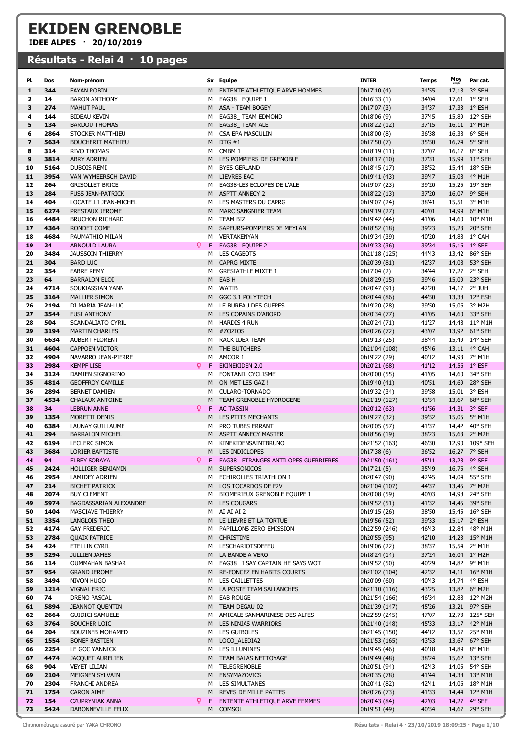## EKIDEN GRENOBLE

IDEE ALPES · 20/10/2019

## Résultats - Relai 4 · 10 pages

| PI.                     | Dos  | Nom-prénom                   |     | Sx Equipe                           | <b>INTER</b>  | <b>Temps</b> | Moy | Par cat.       |
|-------------------------|------|------------------------------|-----|-------------------------------------|---------------|--------------|-----|----------------|
| 1                       | 344  | <b>FAYAN ROBIN</b>           | M   | ENTENTE ATHLETIQUE ARVE HOMMES      | 0h17'10 (4)   | 34'55        |     | 17,18 3° SEH   |
| 2                       | 14   | <b>BARON ANTHONY</b>         | м   | EAG38_EQUIPE 1                      | 0h16'33 (1)   | 34'04        |     | 17,61 1° SEH   |
| 3                       | 274  | <b>MAHUT PAUL</b>            | M   | ASA - TEAM BOGEY                    | 0h17'07 (3)   | 34'37        |     | 17,33 1° ESH   |
| 4                       | 144  | <b>BIDEAU KEVIN</b>          | м   | EAG38_ TEAM EDMOND                  | 0h18'06 (9)   | 37'45        |     | 15,89 12° SEH  |
| 5                       | 134  | <b>BARDOU THOMAS</b>         | м   | EAG38_TEAM ALE                      | 0h18'22 (12)  | 37'15        |     | 16,11 1° M1H   |
| 6                       | 2864 | STOCKER MATTHIEU             | м   | CSA EPA MASCULIN                    | 0h18'00 (8)   | 36'38        |     | 16,38 6° SEH   |
| $\overline{\mathbf{z}}$ | 5634 | <b>BOUCHERIT MATHIEU</b>     | M   | DTG#1                               | 0h17'50 (7)   | 35'50        |     | 16,74 5° SEH   |
| 8                       | 314  | <b>RIVO THOMAS</b>           | M   | CMBM 1                              | 0h18'19 (11)  | 37'07        |     | 16,17 8° SEH   |
| 9                       | 3814 | <b>ABRY ADRIEN</b>           | M   | LES POMPIERS DE GRENOBLE            | 0h18'17 (10)  | 37'31        |     | 15,99 11° SEH  |
| 10                      | 5164 | DUBOIS REMI                  | м   | <b>BYES GERLAND</b>                 | 0h18'45 (17)  | 38'52        |     | 15,44 18° SEH  |
| 11                      | 3954 | VAN WYMEERSCH DAVID          | M   | <b>LIEVRES EAC</b>                  | 0h19'41 (43)  | 39'47        |     | 15,08 4° M1H   |
| 12                      | 264  | <b>GRISOLLET BRICE</b>       | м   | EAG38-LES ECLOPES DE L'ALE          | 0h19'07 (23)  | 39'20        |     | 15,25 19° SEH  |
| 13                      | 284  | <b>FUSS JEAN-PATRICK</b>     | M   | <b>ASPTT ANNECY 2</b>               | 0h18'22 (13)  | 37'20        |     | 16,07 9° SEH   |
| 14                      | 404  | LOCATELLI JEAN-MICHEL        | м   | LES MASTERS DU CAPRG                | 0h19'07 (24)  | 38'41        |     | 15,51 3° M1H   |
| 15                      | 6274 | PRESTAUX JEROME              | M   | MARC SANGNIER TEAM                  | 0h19'19 (27)  | 40'01        |     | 14,99 6° M1H   |
| 16                      | 4484 | <b>BRUCHON RICHARD</b>       | M   | TEAM BIZ                            | 0h19'42 (44)  | 41'06        |     | 14,60 10° M1H  |
| 17                      | 4364 | RONDET COME                  | M   | SAPEURS-POMPIERS DE MEYLAN          | 0h18'52 (18)  | 39'23        |     | 15,23 20° SEH  |
| 18                      | 4684 | PAUMATHIO MILAN              | м   | VERTAKENYAN                         | 0h19'34 (39)  | 40'20        |     | 14,88 1° CAH   |
| 19                      | 24   | Q.<br><b>ARNOULD LAURA</b>   | -F  | EAG38_EQUIPE 2                      | 0h19'33 (36)  | 39'34        |     | 15,16 1° SEF   |
| 20                      | 3484 | <b>JAUSSOIN THIERRY</b>      | м   | <b>LES CAGEOTS</b>                  | 0h21'18 (125) | 44'43        |     | 13,42 86° SEH  |
| 21                      | 304  | <b>BARD LUC</b>              | M   | <b>CAPRG MIXTE</b>                  | 0h20'39 (81)  | 42'37        |     | 14,08 53° SEH  |
| 22                      | 354  | <b>FABRE REMY</b>            | м   | <b>GRESIATHLE MIXTE 1</b>           | 0h17'04 (2)   | 34'44        |     | 17,27 2° SEH   |
| 23                      | 64   | <b>BARRALON ELOI</b>         | M   | EAB H                               | 0h18'29 (15)  | 39'46        |     | 15,09 23° SEH  |
| 24                      | 4714 | SOUKIASSIAN YANN             | M   | WATIB                               | 0h20'47 (91)  | 42'20        |     | 14,17 2° JUH   |
| 25                      | 3164 | <b>MALLIER SIMON</b>         | M   | GGC 3.1 POLYTECH                    | 0h20'44 (86)  | 44'50        |     | 13,38 12° ESH  |
| 26                      | 2194 | DI MARIA JEAN-LUC            | м   | LE BUREAU DES GUEPES                | 0h19'20 (28)  | 39'50        |     | 15,06 3° M2H   |
| 27                      | 3544 | <b>FUSI ANTHONY</b>          | M   | LES COPAINS D'ABORD                 | 0h20'34 (77)  | 41'05        |     | 14,60 33° SEH  |
| 28                      | 504  | SCANDALIATO CYRIL            | м   | <b>HARDIS 4 RUN</b>                 | 0h20'24 (71)  | 41'27        |     | 14,48 11° M1H  |
| 29                      | 3194 | <b>MARTIN CHARLES</b>        | M   | #ZOZIOS                             | 0h20'26 (72)  | 43'07        |     | 13,92 61° SEH  |
| 30                      | 6634 | AUBERT FLORENT               | м   | RACK IDEA TEAM                      | 0h19'13 (25)  | 38'44        |     | 15,49 14° SEH  |
| 31                      | 4604 | <b>CAPPOEN VICTOR</b>        | M   | THE BUTCHERS                        | 0h21'04 (108) | 45'46        |     | 13,11 4° CAH   |
| 32                      | 4904 | NAVARRO JEAN-PIERRE          | м   | AMCOR 1                             | 0h19'22 (29)  | 40'12        |     | 14,93 7° M1H   |
| 33                      | 2984 | <b>KEMPF LISE</b>            | Q F | <b>EKINEKIDEN 2.0</b>               | 0h20'21 (68)  | 41'12        |     | 14,56 1° ESF   |
| 34                      | 3124 | DAMIEN SIGNORINO             | м   | FONTANIL CYCLISME                   | 0h20'00 (55)  | 41'05        |     | 14,60 34° SEH  |
| 35                      | 4814 | <b>GEOFFROY CAMILLE</b>      | M   | ON MET LES GAZ !                    | 0h19'40 (41)  | 40'51        |     | 14,69 28° SEH  |
| 36                      | 2894 | <b>BERNET DAMIEN</b>         | м   | CULARO-TORNADO                      | 0h19'32 (34)  | 39'58        |     | 15,01 3° ESH   |
| 37                      | 4534 | <b>CHALAUX ANTOINE</b>       | M   | TEAM GRENOBLE HYDROGENE             | 0h21'19 (127) | 43'54        |     | 13,67 68° SEH  |
| 38                      | 34   | Q.<br><b>LEBRUN ANNE</b>     | F   | <b>AC TASSIN</b>                    | 0h20'12 (63)  | 41'56        |     | 14,31 3° SEF   |
| 39                      | 1354 | MORETTI DENIS                | M   | LES PTITS MECHANTS                  | 0h19'27 (32)  | 39'52        |     | 15,05 5° M1H   |
| 40                      | 6384 | LAUNAY GUILLAUME             | м   | PRO TUBES ERRANT                    | 0h20'05 (57)  | 41'37        |     | 14,42 40° SEH  |
| 41                      | 294  | <b>BARRALON MICHEL</b>       | M   | ASPTT ANNECY MASTER                 | 0h18'56 (19)  | 38'23        |     | 15,63 2° M2H   |
| 42                      | 6194 | <b>LECLERC SIMON</b>         | м   | KINEKIDENSAINTBRUNO                 | 0h21'52 (163) | 46'30        |     | 12,90 109° SEH |
| 43                      | 3684 | LORIER BAPTISTE              | M   | LES INDICLOPES                      | 0h17'38 (6)   | 36'52        |     | 16,27 7° SEH   |
| 44                      | 94   | Q.<br><b>ELBEY SORAYA</b>    | F   | EAG38 ETRANGES ANTILOPES GUERRIERES | 0h21'50 (161) | 45'11        |     | 13,28 9° SEF   |
| 45                      | 2424 | HOLLIGER BENJAMIN            |     | M SUPERSONICOS                      | 0h17'21 (5)   | 35'49        |     | 16,75 4° SEH   |
| 46                      | 2954 | LAMIDEY ADRIEN               | M   | ECHIROLLES TRIATHLON 1              | 0h20'47 (90)  | 42'45        |     | 14,04 55° SEH  |
| 47                      | 214  | <b>BICHET PATRICK</b>        |     | M LOS TOCARDOS DE F2V               | 0h21'04 (107) | 44'37        |     | 13,45 7° M2H   |
| 48                      | 2074 | <b>BUY CLEMENT</b>           | м   | BIOMERIEUX GRENOBLE EQUIPE 1        | 0h20'08 (59)  | 40'03        |     | 14,98 24° SEH  |
| 49                      | 5974 | BAGDASSARIAN ALEXANDRE       | M   | <b>LES COUGARS</b>                  | 0h19'52 (51)  | 41'32        |     | 14,45 39° SEH  |
| 50                      | 1404 | MASCIAVE THIERRY             | м   | AI AI AI 2                          | 0h19'15 (26)  | 38'50        |     | 15,45 16° SEH  |
| 51                      | 3354 | LANGLOIS THEO                | M   | LE LIEVRE ET LA TORTUE              | 0h19'56 (52)  | 39'33        |     | 15,17 2° ESH   |
| 52                      | 4174 | <b>GAY FREDERIC</b>          | м   | PAPILLONS ZERO EMISSION             | 0h22'59 (246) | 46'43        |     | 12,84 48° M1H  |
| 53                      | 2784 | <b>QUAIX PATRICE</b>         |     | M CHRISTIME                         | 0h20'55 (95)  | 42'10        |     | 14,23 15° M1H  |
| 54                      | 424  | ETELLIN CYRIL                | M   | LESCHARIOTSDEFEU                    | 0h19'06 (22)  | 38'37        |     | 15,54 2° M1H   |
| 55                      | 3294 | <b>JULLIEN JAMES</b>         | M   | LA BANDE A VERO                     | 0h18'24 (14)  | 37'24        |     | 16,04 1° M2H   |
| 56                      | 114  | <b>OUMMAHAN BASHAR</b>       | м   | EAG38_ I SAY CAPTAIN HE SAYS WOT    | 0h19'52 (50)  | 40'29        |     | 14,82 9° M1H   |
| 57                      | 954  | <b>GRAND JEROME</b>          | M   | RE-FONCEZ EN HABITS COURTS          | 0h21'02 (104) | 42'32        |     | 14,11 16° M1H  |
| 58                      | 3494 | NIVON HUGO                   | м   | LES CAILLETTES                      | 0h20'09 (60)  | 40'43        |     | 14,74 4° ESH   |
| 59                      | 1214 | <b>VIGNAL ERIC</b>           | M   | LA POSTE TEAM SALLANCHES            | 0h21'10 (116) | 43'25        |     | 13,82 6° M2H   |
| 60                      | 74   | DRENO PASCAL                 | м   | EAB ROUGE                           | 0h21'54 (166) | 46'34        |     | 12,88 12° M2H  |
| 61                      | 5894 | <b>JEANNOT QUENTIN</b>       | M   | TEAM DEGAU 02                       | 0h21'39 (147) | 45'26        |     | 13,21 97° SEH  |
| 62                      | 2664 | <b>GUIDICI SAMUELE</b>       | M   | AMICALE SANMARINESE DES ALPES       | 0h22'59 (245) | 47'07        |     | 12,73 125° SEH |
| 63                      | 3764 | <b>BOUCHER LOIC</b>          | M   | LES NINJAS WARRIORS                 | 0h21'40 (148) | 45'33        |     | 13,17 42° M1H  |
| 64                      | 204  | BOUZINEB MOHAMED             | м   | <b>LES GUIBOLES</b>                 | 0h21'45 (150) | 44'12        |     | 13,57 25° M1H  |
| 65                      | 1554 | <b>BONEF BASTIEN</b>         | M   | LOCO_ALEDIA2                        | 0h21'53 (165) | 43'53        |     | 13,67 67° SEH  |
| 66                      | 2254 | LE GOC YANNICK               | м   | LES ILLUMINES                       | 0h19'45 (46)  | 40'18        |     | 14,89 8° M1H   |
| 67                      | 4474 | JACQUET AURELIEN             | M   | TEAM BALAS NETTOYAGE                | 0h19'49 (48)  | 38'24        |     | 15,62 13° SEH  |
| 68                      | 904  | <b>VEYET LILIAN</b>          | M   | TELEGRENOBLE                        | 0h20'51 (94)  | 42'43        |     | 14,05 54° SEH  |
| 69                      | 2104 | MEIGNEN SYLVAIN              | м   | <b>ENSYMAZOVICS</b>                 | 0h20'35 (78)  | 41'44        |     | 14,38 13° M1H  |
| 70                      | 2304 | FRANCHI ANDREA               | м   | LES SIMULTANES                      | 0h20'41 (82)  | 42'41        |     | 14,06 18° M1H  |
| 71                      | 1754 | <b>CARON AIME</b>            | М   | REVES DE MILLE PATTES               | 0h20'26 (73)  | 41'33        |     | 14,44 12° M1H  |
| 72                      | 154  | Q.<br><b>CZUPRYNIAK ANNA</b> | F   | ENTENTE ATHLETIQUE ARVE FEMMES      | 0h20'43 (84)  | 42'03        |     | 14,27 4° SEF   |
| 73                      | 5424 | DABONNEVILLE FELIX           |     | M COMSOL                            | 0h19'51 (49)  | 40'54        |     | 14,67 29° SEH  |
|                         |      |                              |     |                                     |               |              |     |                |

Chronométrage assuré par YAKA CHRONO **Résultats - Relai 4 · 23/10/2019 18:09:25 · Page 1/10**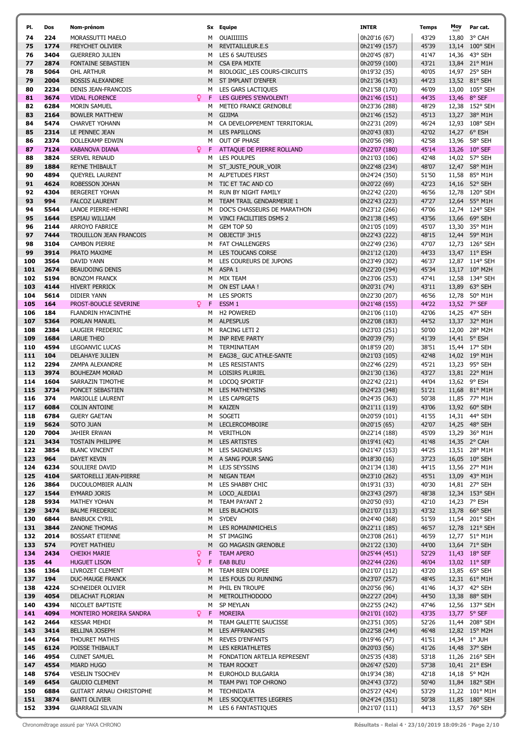| PI. | Dos  | Nom-prénom                      |    |     | Sx Equipe                     | <b>INTER</b>  | <b>Temps</b> | $M_{O'_{km/f}}$ |
|-----|------|---------------------------------|----|-----|-------------------------------|---------------|--------------|-----------------|
| 74  | 224  | MORASSUTTI MAELO                |    |     | M OUAIIIIIIS                  | 0h20'16 (67)  | 43'29        | 13,8            |
| 75  | 1774 | FREYCHET OLIVIER                |    |     | M REVITAILLEUR.E.S            | 0h21'49 (157) | 45'39        | 13,1            |
| 76  | 3404 | <b>GUERRERO JULIEN</b>          |    |     | M LES 6 SAUTEUSES             | 0h20'45 (87)  | 41'47        | 14,3            |
| 77  | 2874 | FONTAINE SEBASTIEN              |    |     | M CSA EPA MIXTE               | 0h20'59 (100) | 43'21        | 13,8            |
| 78  | 5064 | OHL ARTHUR                      |    |     | M BIOLOGIC LES COURS-CIRCUITS | 0h19'32 (35)  | 40'05        | 14,9            |
| 79  | 2004 |                                 |    |     |                               |               | 44'23        |                 |
|     |      | <b>BOSSIS ALEXANDRE</b>         |    |     | M ST IMPLANT D'ENFER          | 0h21'36 (143) |              | 13,5            |
| 80  | 2234 | DENIS JEAN-FRANCOIS             |    |     | M LES GARS LACTIQUES          | 0h21'58 (170) | 46'09        | 13,0            |
| 81  | 3674 | <b>VIDAL FLORENCE</b>           |    | Q F | LES GUEPES S'ENVOLENT!        | 0h21'46 (151) | 44'35        | 13,4            |
| 82  | 6284 | MORIN SAMUEL                    |    |     | M METEO FRANCE GRENOBLE       | 0h23'36 (288) | 48'29        | 12,3            |
| 83  | 2164 | <b>BOWLER MATTHEW</b>           |    |     | M GIJIMA                      | 0h21'46 (152) | 45'13        | 13,2            |
| 84  | 5474 | <b>CHARVET YOHANN</b>           |    | M   | CA DEVELOPPEMENT TERRITORIAL  | 0h22'31 (209) | 46'24        | 12,9            |
| 85  | 2314 | LE PENNEC JEAN                  |    |     | M LES PAPILLONS               | 0h20'43 (83)  | 42'02        | 14,2            |
| 86  | 2374 | DOLLEKAMP EDWIN                 |    |     | M OUT OF PHASE                | 0h20'56 (98)  | 42'58        | 13,9            |
| 87  | 7124 | <b>KABANOVA DIANA</b>           |    |     | P F ATTAQUE DE PIERRE ROLLAND | 0h22'07 (180) | 45'14        | 13,2            |
| 88  | 3824 | SERVEL RENAUD                   |    |     | M LES POULPES                 | 0h21'03 (106) | 42'48        | 14,0            |
| 89  | 1884 | <b>REYNE THIBAULT</b>           |    |     | M ST_JUSTE_POUR_VOIR          | 0h22'48 (234) | 48'07        | 12,4            |
| 90  | 4894 |                                 |    |     | M ALP'ETUDES FIRST            |               | 51'50        |                 |
|     |      | <b>QUEYREL LAURENT</b>          |    |     |                               | 0h24'24 (350) |              | 11,5            |
| 91  | 4624 | ROBESSON JOHAN                  |    |     | M TIC ET TAC AND CO           | 0h20'22 (69)  | 42'23        | 14,1            |
| 92  | 4304 | <b>BERGERET YOHAN</b>           |    |     | M RUN BY NIGHT FAMILY         | 0h22'42 (220) | 46'56        | 12,7            |
| 93  | 994  | <b>FALCOZ LAURENT</b>           |    |     | M TEAM TRAIL GENDARMERIE 1    | 0h22'43 (223) | 47'27        | 12,6            |
| 94  | 5544 | LANOE PIERRE-HENRI              |    |     | M DOC'S CHASSEURS DE MARATHON | 0h23'12 (266) | 47'06        | 12,7            |
| 95  | 1644 | ESPIAU WILLIAM                  |    |     | M VINCI FACILITIES DSMS 2     | 0h21'38 (145) | 43'56        | 13,6            |
| 96  | 2144 | <b>ARROYO FABRICE</b>           |    |     | M GEM TOP 50                  | 0h21'05 (109) | 45'07        | 13,3            |
| 97  | 7444 | TROUILLON JEAN FRANCOIS         |    |     | M OBJECTIF 3H15               | 0h22'43 (222) | 48'15        | 12,4            |
| 98  | 3104 | <b>CAMBON PIERRE</b>            |    |     | M FAT CHALLENGERS             | 0h22'49 (236) | 47'07        | 12,7            |
| 99  | 3914 | PRATO MAXIME                    |    |     | M LES TOUCANS CORSE           | 0h21'12 (120) | 44'33        | 13,4            |
| 100 | 3564 | DAVID YANN                      |    |     | M LES COUREURS DE JUPONS      | 0h23'49 (302) | 46'37        | 12,8            |
| 101 | 2674 | <b>BEAUDOING DENIS</b>          |    |     | M ASPA 1                      | 0h22'20 (194) | 45'34        |                 |
|     |      |                                 |    |     |                               |               |              | 13,1            |
| 102 | 5194 | <b>BONZOM FRANCK</b>            |    |     | M MIX TEAM                    | 0h23'06 (253) | 47'41        | 12,5            |
| 103 | 4144 | <b>HIVERT PERRICK</b>           |    |     | M ON EST LAAA !               | 0h20'31 (74)  | 43'11        | 13,8            |
| 104 | 5614 | DIDIER YANN                     |    |     | M LES SPORTS                  | 0h22'30 (207) | 46'56        | 12,7            |
| 105 | 164  | PROST-BOUCLE SEVERINE           |    | Ω F | ESSM 1                        | 0h21'48 (155) | 44'22        | 13,5            |
| 106 | 184  | FLANDRIN HYACINTHE              |    |     | M H2 POWERED                  | 0h21'06 (110) | 42'06        | 14,2            |
| 107 | 5364 | PORLAN MANUEL                   |    |     | M ALPESPLUS                   | 0h22'08 (183) | 44'52        | 13,3            |
| 108 | 2384 | LAUGIER FREDERIC                |    |     | M RACING LETI 2               | 0h23'03 (251) | 50'00        | 12,0            |
| 109 | 1684 | <b>LARUE THEO</b>               |    |     | M INP REVE PARTY              | 0h20'39 (79)  | 41'39        | 14,4            |
| 110 | 4594 | LEGOANVIC LUCAS                 |    |     | M TERMINATEAM                 | 0h18'59 (20)  | 38'51        | 15,4            |
| 111 | 104  | DELAHAYE JULIEN                 |    | M   | EAG38_ GUC ATHLE-SANTE        | 0h21'03 (105) | 42'48        | 14,0            |
| 112 | 2294 | ZAMPA ALEXANDRE                 |    |     | M LES RESISTANTS              | 0h22'46 (229) | 45'21        | 13,2            |
| 113 | 3974 | <b>BOUHEZAM MORAD</b>           |    |     | M LOISIRS PLURIEL             | 0h21'30 (136) | 43'27        | 13,8            |
| 114 | 1604 | SARRAZIN TIMOTHE                |    |     | M LOCOQ SPORTIF               | 0h22'42 (221) | 44'04        | 13,6            |
| 115 | 3734 | PONCET SEBASTIEN                |    |     | M LES MATHEYSINS              | 0h24'23 (348) | 51'21        | 11,6            |
| 116 | 374  |                                 |    | м   |                               |               | 50'38        |                 |
|     |      | MARIOLLE LAURENT                |    |     | <b>LES CAPRGETS</b>           | 0h24'35 (363) |              | 11,8            |
| 117 | 6084 | <b>COLIN ANTOINE</b>            |    |     | M KAIZEN                      | 0h21'11 (119) | 43'06        | 13,9            |
| 118 | 6784 | <b>GUERY GAETAN</b>             |    |     | M SOGETI                      | 0h20'59 (101) | 41'55        | 14,3            |
| 119 | 5624 | SOTO JUAN                       |    |     | M LECLERCOMBOIRE              | 0h20'15 (65)  | 42'07        | 14,2            |
| 120 | 7004 | JAHIER ERWAN                    |    |     | M VERITHLON                   | 0h22'14 (188) | 45'09        | 13,2            |
| 121 | 3434 | <b>TOSTAIN PHILIPPE</b>         |    |     | M LES ARTISTES                | 0h19'41 (42)  | 41'48        | 14,3            |
| 122 | 3854 | <b>BLANC VINCENT</b>            |    |     | M LES SAIGNEURS               | 0h21'47 (153) | 44'25        | 13,5            |
| 123 | 964  | DAYET KEVIN                     |    |     | M A SANG POUR SANG            | 0h18'30 (16)  | 37'23        | 16,0            |
| 124 | 6234 | SOULIERE DAVID                  |    |     | M LEJS SEYSSINS               | 0h21'34 (138) | 44'15        | 13,5            |
| 125 | 4104 | SARTORELLI JEAN-PIERRE          |    |     | M NEGAN TEAM                  | 0h23'10 (262) | 45'51        | 13,0            |
| 126 | 3864 | DUCOULOMBIER ALAIN              |    |     | M LES SHABBY CHIC             | 0h19'31 (33)  | 40'30        | 14,8            |
| 127 | 1544 | EYMARD JORIS                    |    |     | M LOCO ALEDIA1                | 0h23'43 (297) | 48'38        | 12,3            |
| 128 | 5934 | MATHEY YOHAN                    |    |     | M TEAM PAYANT 2               | 0h20'50 (93)  | 42'10        | 14,2            |
| 129 | 3474 | <b>BALME FREDERIC</b>           |    |     | M LES BLACHOIS                | 0h21'07 (113) | 43'32        | 13,7            |
| 130 | 6844 | <b>BANBUCK CYRIL</b>            |    |     | M SYDEV                       | 0h24'40 (368) | 51'59        | 11,5            |
| 131 | 3844 |                                 |    |     | M LES ROMAINMICHELS           |               | 46'57        |                 |
|     |      | ZANONE THOMAS                   |    |     |                               | 0h22'11 (185) |              | 12,7            |
| 132 | 2014 | <b>BOSSART ETIENNE</b>          |    | м   | ST IMAGING                    | 0h23'08 (261) | 46'59        | 12,7            |
| 133 | 574  | POYET MATHIEU                   |    | M   | <b>GO MAGASIN GRENOBLE</b>    | 0h21'22 (130) | 44'00        | 13,6            |
| 134 | 2434 | <b>CHEIKH MARIE</b>             | Q. | F.  | <b>TEAM APERO</b>             | 0h25'44 (451) | 52'29        | 11,4            |
| 135 | 44   | <b>HUGUET LISON</b>             |    |     | <b>Q</b> F EAB BLEU           | 0h22'44 (226) | 46'04        | 13,0            |
| 136 | 1364 | LIVROZET CLEMENT                |    |     | M TEAM BIEN DOPEE             | 0h21'07 (112) | 43'20        | 13,8            |
| 137 | 194  | <b>DUC-MAUGE FRANCK</b>         |    |     | M LES FOUS DU RUNNING         | 0h23'07 (257) | 48'45        | 12,3            |
| 138 | 4224 | SCHNEIDER OLIVIER               |    |     | M PHIL EN TROUPE              | 0h20'56 (96)  | 41'46        | 14,3            |
| 139 | 4054 | DELACHAT FLORIAN                |    |     | M METROLITHODODO              | 0h22'27 (204) | 44'50        | 13,3            |
| 140 | 4394 | NICOLET BAPTISTE                |    |     | M SP MEYLAN                   | 0h22'55 (242) | 47'46        | 12,5            |
| 141 | 4094 | MONTEIRO MOREIRA SANDRA         |    | Ω F | <b>MOREIRA</b>                | 0h21'01 (102) | 43'35        | 13,7            |
| 142 | 2464 | <b>KESSAR MEHDI</b>             |    |     | M TEAM GALETTE SAUCISSE       | 0h23'51 (305) | 52'26        | 11,4            |
| 143 | 3414 | BELLINA JOSEPH                  |    |     | M LES AFFRANCHIS              | 0h22'58 (244) | 46'48        | 12,8            |
| 144 | 1764 | THOURET MATHIS                  |    |     | M REVES D'ENFANTS             | 0h19'46 (47)  | 41'51        |                 |
|     |      |                                 |    |     |                               |               |              | 14,3            |
| 145 | 6124 | POISSE THIBAULT                 |    |     | M LES KERIATHLETES            | 0h20'03 (56)  | 41'26        | 14 <sub>7</sub> |
| 146 | 4954 | <b>CUINET SAMUEL</b>            |    |     | M FONDATION ARTELIA REPRESENT | 0h25'35 (438) | 53'18        | 11,2            |
| 147 | 4554 | MIARD HUGO                      |    |     | M TEAM ROCKET                 | 0h26'47 (520) | 57'38        | 10,4            |
| 148 | 5764 | <b>VESELIN TSOCHEV</b>          |    | м   | EUROHOLD BULGARIA             | 0h19'34 (38)  | 42'18        | 14,1            |
| 149 | 6454 | <b>GAUDIO CLEMENT</b>           |    |     | M TEAM PW1 TOP CHRONO         | 0h24'43 (372) | 50'40        | 11,8            |
| 150 | 6884 | <b>GUITART ARNAU CHRISTOPHE</b> |    |     | M TECHNIDATA                  | 0h25'27 (424) | 53'29        | 11,2            |
| 151 | 3874 | <b>BANTI OLIVIER</b>            |    |     | M LES SOCQUETTES LEGERES      | 0h24'24 (351) | 50'38        | 11,8            |
| 152 | 3394 | <b>GUARRAGI SILVAIN</b>         |    |     | M LES 6 FANTASTIQUES          | 0h21'07 (111) | 44'13        | 13,5            |

ſ

| PI. | Dos  | Nom-prénom                      |        | Sx Equipe                    | <b>INTER</b>  | <b>Temps</b> | Moy          | Par cat.       |
|-----|------|---------------------------------|--------|------------------------------|---------------|--------------|--------------|----------------|
| 74  | 224  | MORASSUTTI MAELO                | м      | OUAIIIIIIIS                  | 0h20'16 (67)  | 43'29        |              | 13,80 3° CAH   |
| 75  | 1774 | FREYCHET OLIVIER                | M      | REVITAILLEUR.E.S             | 0h21'49 (157) | 45'39        |              | 13,14 100° SEH |
| 76  | 3404 | <b>GUERRERO JULIEN</b>          | м      | LES 6 SAUTEUSES              | 0h20'45 (87)  | 41'47        |              | 14,36 43° SEH  |
| 77  | 2874 | FONTAINE SEBASTIEN              | M      | CSA EPA MIXTE                | 0h20'59 (100) | 43'21        |              | 13,84 21° M1H  |
| 78  | 5064 | OHL ARTHUR                      | м      | BIOLOGIC_LES COURS-CIRCUITS  | 0h19'32 (35)  | 40'05        |              | 14,97 25° SEH  |
| 79  | 2004 | <b>BOSSIS ALEXANDRE</b>         | M      | ST IMPLANT D'ENFER           | 0h21'36 (143) | 44'23        |              | 13,52 81° SEH  |
| 80  | 2234 | DENIS JEAN-FRANCOIS             | м      | LES GARS LACTIQUES           | 0h21'58 (170) | 46'09        |              | 13,00 105° SEH |
| 81  | 3674 | Q.<br><b>VIDAL FLORENCE</b>     | F      | LES GUEPES S'ENVOLENT!       | 0h21'46 (151) | 44'35        | 13,46 8° SEF |                |
| 82  | 6284 | <b>MORIN SAMUEL</b>             | M      | METEO FRANCE GRENOBLE        | 0h23'36 (288) | 48'29        |              | 12,38 152° SEH |
| 83  | 2164 | <b>BOWLER MATTHEW</b>           | м      | <b>GIJIMA</b>                | 0h21'46 (152) | 45'13        |              | 13,27 38° M1H  |
| 84  | 5474 | <b>CHARVET YOHANN</b>           |        | CA DEVELOPPEMENT TERRITORIAL | 0h22'31 (209) | 46'24        |              | 12,93 108° SEH |
| 85  | 2314 | LE PENNEC JEAN                  | M<br>M | LES PAPILLONS                | 0h20'43 (83)  | 42'02        |              | 14,27 6° ESH   |
| 86  | 2374 | DOLLEKAMP EDWIN                 |        | M OUT OF PHASE               | 0h20'56 (98)  | 42'58        |              | 13,96 58° SEH  |
|     |      | Q                               |        |                              |               |              |              |                |
| 87  | 7124 | <b>KABANOVA DIANA</b>           | F      | ATTAQUE DE PIERRE ROLLAND    | 0h22'07 (180) | 45'14        |              | 13,26 10° SEF  |
| 88  | 3824 | SERVEL RENAUD                   | м      | LES POULPES                  | 0h21'03 (106) | 42'48        |              | 14,02 57° SEH  |
| 89  | 1884 | REYNE THIBAULT                  | M      | ST_JUSTE_POUR_VOIR           | 0h22'48 (234) | 48'07        |              | 12,47 58° M1H  |
| 90  | 4894 | QUEYREL LAURENT                 | м      | ALP'ETUDES FIRST             | 0h24'24 (350) | 51'50        |              | 11,58 85° M1H  |
| 91  | 4624 | ROBESSON JOHAN                  | м      | TIC ET TAC AND CO            | 0h20'22 (69)  | 42'23        |              | 14,16 52° SEH  |
| 92  | 4304 | <b>BERGERET YOHAN</b>           | м      | <b>RUN BY NIGHT FAMILY</b>   | 0h22'42 (220) | 46'56        |              | 12,78 120° SEH |
| 93  | 994  | <b>FALCOZ LAURENT</b>           | м      | TEAM TRAIL GENDARMERIE 1     | 0h22'43 (223) | 47'27        |              | 12,64 55° M1H  |
| 94  | 5544 | LANOE PIERRE-HENRI              | м      | DOC'S CHASSEURS DE MARATHON  | 0h23'12 (266) | 47'06        |              | 12,74 124° SEH |
| 95  | 1644 | ESPIAU WILLIAM                  | м      | VINCI FACILITIES DSMS 2      | 0h21'38 (145) | 43'56        |              | 13,66 69° SEH  |
| 96  | 2144 | <b>ARROYO FABRICE</b>           | M      | GEM TOP 50                   | 0h21'05 (109) | 45'07        |              | 13,30 35° M1H  |
| 97  | 7444 | TROUILLON JEAN FRANCOIS         |        | M OBJECTIF 3H15              | 0h22'43 (222) | 48'15        |              | 12,44 59° M1H  |
| 98  | 3104 | <b>CAMBON PIERRE</b>            |        | M FAT CHALLENGERS            | 0h22'49 (236) | 47'07        |              | 12,73 126° SEH |
| 99  | 3914 | PRATO MAXIME                    | M      | <b>LES TOUCANS CORSE</b>     | 0h21'12 (120) | 44'33        |              | 13,47 11° ESH  |
| 100 | 3564 | DAVID YANN                      | м      | LES COUREURS DE JUPONS       | 0h23'49 (302) | 46'37        |              | 12,87 114° SEH |
| 101 | 2674 | <b>BEAUDOING DENIS</b>          |        | M ASPA 1                     | 0h22'20 (194) | 45'34        |              | 13,17 10° M2H  |
| 102 | 5194 | <b>BONZOM FRANCK</b>            | м      | MIX TEAM                     | 0h23'06 (253) | 47'41        |              | 12,58 134° SEH |
| 103 | 4144 | <b>HIVERT PERRICK</b>           | M      | ON EST LAAA !                | 0h20'31 (74)  | 43'11        |              | 13,89 63° SEH  |
| 104 | 5614 | DIDIER YANN                     |        | M LES SPORTS                 | 0h22'30 (207) | 46'56        |              | 12,78 50° M1H  |
| 105 | 164  | Q.<br>PROST-BOUCLE SEVERINE     | F      | ESSM <sub>1</sub>            | 0h21'48 (155) | 44'22        |              | 13,52 7° SEF   |
| 106 | 184  | FLANDRIN HYACINTHE              |        | M H2 POWERED                 | 0h21'06 (110) | 42'06        |              | 14,25 47° SEH  |
| 107 | 5364 | PORLAN MANUEL                   | M      | <b>ALPESPLUS</b>             | 0h22'08 (183) | 44'52        |              | 13,37 32° M1H  |
| 108 | 2384 | LAUGIER FREDERIC                | м      | RACING LETI 2                | 0h23'03 (251) | 50'00        |              | 12,00 28° M2H  |
| 109 | 1684 | <b>LARUE THEO</b>               | M      | INP REVE PARTY               | 0h20'39 (79)  | 41'39        |              | 14,41 5° ESH   |
| 110 | 4594 | LEGOANVIC LUCAS                 | м      | TERMINATEAM                  | 0h18'59 (20)  | 38'51        |              | 15,44 17° SEH  |
| 111 | 104  | DELAHAYE JULIEN                 | м      | EAG38_ GUC ATHLE-SANTE       | 0h21'03 (105) | 42'48        |              | 14,02 19° M1H  |
| 112 | 2294 | ZAMPA ALEXANDRE                 | м      | LES RESISTANTS               | 0h22'46 (229) | 45'21        |              | 13,23 95° SEH  |
| 113 | 3974 | <b>BOUHEZAM MORAD</b>           | M      | LOISIRS PLURIEL              | 0h21'30 (136) | 43'27        |              | 13,81 22° M1H  |
| 114 | 1604 | SARRAZIN TIMOTHE                | м      | LOCOQ SPORTIF                | 0h22'42 (221) | 44'04        |              | 13,62 9° ESH   |
| 115 | 3734 | PONCET SEBASTIEN                | М      | LES MATHEYSINS               | 0h24'23 (348) | 51'21        |              | 11,68 81° M1H  |
| 116 | 374  | MARIOLLE LAURENT                | м      | <b>LES CAPRGETS</b>          | 0h24'35 (363) | 50'38        |              | 11,85 77° M1H  |
| 117 | 6084 | <b>COLIN ANTOINE</b>            |        | M KAIZEN                     | 0h21'11 (119) | 43'06        |              | 13,92 60° SEH  |
| 118 | 6784 | <b>GUERY GAETAN</b>             |        | M SOGETI                     | 0h20'59 (101) | 41'55        |              | 14,31 44° SEH  |
| 119 | 5624 | SOTO JUAN                       |        | M LECLERCOMBOIRE             | 0h20'15 (65)  | 42'07        |              | 14,25 48° SEH  |
| 120 | 7004 | JAHIER ERWAN                    | м      | VERITHLON                    | 0h22'14 (188) | 45'09        |              | 13,29 36° M1H  |
| 121 | 3434 | <b>TOSTAIN PHILIPPE</b>         | м      | <b>LES ARTISTES</b>          | 0h19'41 (42)  | 41'48        |              | 14,35 2° CAH   |
| 122 | 3854 | <b>BLANC VINCENT</b>            | м      | <b>LES SAIGNEURS</b>         | 0h21'47 (153) | 44'25        |              | 13,51 28° M1H  |
| 123 | 964  | DAYET KEVIN                     | M      | A SANG POUR SANG             | 0h18'30 (16)  | 37'23        |              | 16,05 10° SEH  |
| 124 | 6234 | SOULIERE DAVID                  | м      | LEJS SEYSSINS                | 0h21'34 (138) | 44'15        |              | 13,56 27° M1H  |
| 125 | 4104 | SARTORELLI JEAN-PIERRE          | м      | <b>NEGAN TEAM</b>            | 0h23'10 (262) | 45'51        |              | 13,09 43° M1H  |
| 126 | 3864 | DUCOULOMBIER ALAIN              | м      | LES SHABBY CHIC              | 0h19'31 (33)  | 40'30        |              | 14,81 27° SEH  |
| 127 | 1544 | EYMARD JORIS                    | M      | LOCO_ALEDIA1                 | 0h23'43 (297) | 48'38        |              | 12,34 153° SEH |
| 128 | 5934 | MATHEY YOHAN                    | м      | TEAM PAYANT 2                | 0h20'50 (93)  | 42'10        |              | 14,23 7° ESH   |
| 129 | 3474 | <b>BALME FREDERIC</b>           | M      | LES BLACHOIS                 | 0h21'07 (113) | 43'32        |              | 13,78 66° SEH  |
| 130 | 6844 | <b>BANBUCK CYRIL</b>            | м      | <b>SYDEV</b>                 | 0h24'40 (368) | 51'59        |              | 11,54 201° SEH |
| 131 | 3844 | ZANONE THOMAS                   | м      | LES ROMAINMICHELS            | 0h22'11 (185) | 46'57        |              | 12,78 121° SEH |
| 132 | 2014 | <b>BOSSART ETIENNE</b>          | м      | ST IMAGING                   | 0h23'08 (261) | 46'59        |              | 12,77 51° M1H  |
| 133 | 574  | POYET MATHIEU                   | M      | <b>GO MAGASIN GRENOBLE</b>   | 0h21'22 (130) | 44'00        |              | 13,64 71° SEH  |
| 134 | 2434 | Q<br><b>CHEIKH MARIE</b>        | F      | <b>TEAM APERO</b>            | 0h25'44 (451) | 52'29        |              | 11,43 18° SEF  |
| 135 | 44   | Q<br><b>HUGUET LISON</b>        | F      | <b>EAB BLEU</b>              | 0h22'44 (226) | 46'04        |              | 13,02 11° SEF  |
| 136 | 1364 | LIVROZET CLEMENT                | м      | TEAM BIEN DOPEE              | 0h21'07 (112) | 43'20        |              | 13,85 65° SEH  |
| 137 | 194  | DUC-MAUGE FRANCK                | M      | LES FOUS DU RUNNING          | 0h23'07 (257) | 48'45        |              | 12,31 61° M1H  |
| 138 | 4224 | SCHNEIDER OLIVIER               | M      | PHIL EN TROUPE               | 0h20'56 (96)  | 41'46        |              | 14,37 42° SEH  |
| 139 | 4054 | DELACHAT FLORIAN                | м      | <b>METROLITHODODO</b>        | 0h22'27 (204) | 44'50        |              | 13,38 88° SEH  |
| 140 | 4394 | NICOLET BAPTISTE                | м      | SP MEYLAN                    | 0h22'55 (242) | 47'46        |              | 12,56 137° SEH |
| 141 | 4094 | MONTEIRO MOREIRA SANDRA<br>Q.   | F      | <b>MOREIRA</b>               | 0h21'01 (102) | 43'35        |              | 13,77 5° SEF   |
| 142 | 2464 | <b>KESSAR MEHDI</b>             | м      | TEAM GALETTE SAUCISSE        | 0h23'51 (305) | 52'26        |              | 11,44 208° SEH |
| 143 | 3414 | <b>BELLINA JOSEPH</b>           | М      | <b>LES AFFRANCHIS</b>        | 0h22'58 (244) | 46'48        |              | 12,82 15° M2H  |
| 144 | 1764 | THOURET MATHIS                  | м      | <b>REVES D'ENFANTS</b>       | 0h19'46 (47)  | 41'51        |              | 14,34 1° JUH   |
| 145 | 6124 | POISSE THIBAULT                 | м      | LES KERIATHLETES             | 0h20'03 (56)  | 41'26        |              | 14,48 37° SEH  |
| 146 | 4954 | <b>CUINET SAMUEL</b>            | м      | FONDATION ARTELIA REPRESENT  | 0h25'35 (438) | 53'18        |              | 11,26 216° SEH |
| 147 | 4554 | <b>MIARD HUGO</b>               | м      | <b>TEAM ROCKET</b>           | 0h26'47 (520) | 57'38        |              | 10,41 21° ESH  |
| 148 | 5764 | <b>VESELIN TSOCHEV</b>          | м      | EUROHOLD BULGARIA            | 0h19'34 (38)  | 42'18        |              | 14,18 5° M2H   |
| 149 | 6454 | <b>GAUDIO CLEMENT</b>           | м      | TEAM PW1 TOP CHRONO          | 0h24'43 (372) | 50'40        |              | 11,84 182° SEH |
| 150 | 6884 | <b>GUITART ARNAU CHRISTOPHE</b> | м      | TECHNIDATA                   | 0h25'27 (424) | 53'29        |              | 11,22 101° M1H |
| 151 | 3874 | <b>BANTI OLIVIER</b>            | M      | LES SOCQUETTES LEGERES       | 0h24'24 (351) | 50'38        |              | 11,85 180° SEH |
| 152 | 3394 | <b>GUARRAGI SILVAIN</b>         |        | M LES 6 FANTASTIQUES         | 0h21'07 (111) | 44'13        |              | 13,57 76° SEH  |
|     |      |                                 |        |                              |               |              |              |                |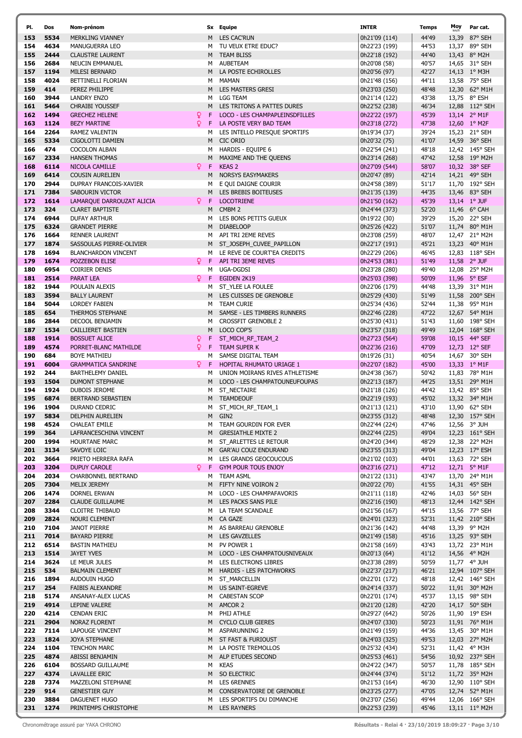| PI. | Dos  | Nom-prénom                 |                    | Sx Equipe                      | INTER         | Temps | Moy | Par cat.       |
|-----|------|----------------------------|--------------------|--------------------------------|---------------|-------|-----|----------------|
| 153 | 5534 | MERKLING VIANNEY           | M                  | LES CAC'RUN                    | 0h21'09 (114) | 44'49 |     | 13,39 87° SEH  |
| 154 | 4634 | MANUGUERRA LEO             | м                  | TU VEUX ETRE EDUC?             | 0h22'23 (199) | 44'53 |     | 13,37 89° SEH  |
| 155 | 2444 | <b>CLAUSTRE LAURENT</b>    | M                  | <b>TEAM BLISS</b>              |               | 44'40 |     | 13,43 8° M2H   |
|     |      |                            |                    |                                | 0h22'18 (192) |       |     |                |
| 156 | 2684 | NEUCIN EMMANUEL            | м                  | AUBETEAM                       | 0h20'08 (58)  | 40'57 |     | 14,65 31° SEH  |
| 157 | 1194 | MILESI BERNARD             | M                  | LA POSTE ECHIROLLES            | 0h20'56 (97)  | 42'27 |     | 14,13 1° M3H   |
| 158 | 4024 | BETTINELLI FLORIAN         | м                  | MAMAN                          | 0h21'48 (156) | 44'11 |     | 13,58 75° SEH  |
| 159 | 414  | PEREZ PHILIPPE             | M                  | <b>LES MASTERS GRESI</b>       | 0h23'03 (250) | 48'48 |     | 12,30 62° M1H  |
| 160 | 3944 | <b>LANDRY ENZO</b>         | м                  | <b>LGG TEAM</b>                | 0h21'14 (122) | 43'38 |     | 13,75 8° ESH   |
| 161 | 5464 | <b>CHRAIBI YOUSSEF</b>     | M                  | LES TRITONS A PATTES DURES     | 0h22'52 (238) | 46'34 |     | 12,88 112° SEH |
|     |      |                            |                    |                                |               |       |     |                |
| 162 | 1494 | <b>GRECHEZ HELENE</b>      | F                  | LOCO - LES CHAMPAPLEINSDFILLES | 0h22'22 (197) | 45'39 |     | 13,14 2° M1F   |
| 163 | 1124 | <b>BEZY MARTINE</b>        | Q<br>F             | LA POSTE VERY BAD TEAM         | 0h23'18 (272) | 47'38 |     | 12,60 1° M2F   |
| 164 | 2264 | RAMEZ VALENTIN             | м                  | LES INTELLO PRESQUE SPORTIFS   | 0h19'34 (37)  | 39'24 |     | 15,23 21° SEH  |
| 165 | 5334 | CIGOLOTTI DAMIEN           | М                  | CIC ORIO                       | 0h20'32 (75)  | 41'07 |     | 14,59 36° SEH  |
| 166 | 474  | <b>COCOLON ALBAN</b>       | м                  | HARDIS - EQUIPE 6              | 0h22'54 (241) | 48'18 |     | 12,42 145° SEH |
| 167 | 2334 | <b>HANSEN THOMAS</b>       | М                  | MAXIME AND THE QUEENS          | 0h23'14 (268) | 47'42 |     | 12,58 19° M2H  |
| 168 | 6114 |                            | Q.<br>$\mathsf{F}$ | <b>KEAS 2</b>                  |               | 58'07 |     |                |
|     |      | NICOLA CAMILLE             |                    |                                | 0h27'09 (544) |       |     | 10,32 38° SEF  |
| 169 | 6414 | <b>COUSIN AURELIEN</b>     | M                  | <b>NORSYS EASYMAKERS</b>       | 0h20'47 (89)  | 42'14 |     | 14,21 49° SEH  |
| 170 | 2944 | DUPRAY FRANCOIS-XAVIER     | м                  | E QUI DAIGNE COURIR            | 0h24'58 (389) | 51'17 |     | 11,70 192° SEH |
| 171 | 7384 | SABOURIN VICTOR            | M                  | LES BREBIS BOITEUSES           | 0h21'35 (139) | 44'35 |     | 13,46 83° SEH  |
| 172 | 1614 | LAMARQUE DARROUZAT ALICIA  | Q.<br>-F           | <b>LOCOTRIENE</b>              | 0h21'50 (162) | 45'39 |     | 13,14 1° JUF   |
| 173 | 324  | <b>CLARET BAPTISTE</b>     | M                  | CMBM <sub>2</sub>              | 0h24'44 (373) | 52'20 |     | 11,46 6° CAH   |
| 174 | 6944 | <b>DUFAY ARTHUR</b>        | м                  | LES BONS PETITS GUEUX          | 0h19'22 (30)  | 39'29 |     | 15,20 22° SEH  |
|     |      |                            |                    |                                |               |       |     |                |
| 175 | 6324 | <b>GRANDET PIERRE</b>      | M                  | <b>DIABELOOP</b>               | 0h25'26 (422) | 51'07 |     | 11,74 80° M1H  |
| 176 | 1664 | <b>RENNER LAURENT</b>      | м                  | API TRI 2EME REVES             | 0h23'08 (259) | 48'07 |     | 12,47 21° M2H  |
| 177 | 1874 | SASSOULAS PIERRE-OLIVIER   | М                  | ST JOSEPH CUVEE PAPILLON       | 0h22'17 (191) | 45'21 |     | 13,23 40° M1H  |
| 178 | 1694 | <b>BLANCHARDON VINCENT</b> | м                  | LE REVE DE COURT'EA CREDITS    | 0h22'29 (206) | 46'45 |     | 12,83 118° SEH |
| 179 | 1674 | POZZEBON ELISE             | Q.<br>F.           | API TRI 3EME REVES             | 0h24'53 (381) | 51'49 |     | 11,58 2° JUF   |
| 180 | 6954 |                            |                    | UGA-DGDSI                      | 0h23'28 (280) | 49'40 |     |                |
|     |      | COIRIER DENIS              | м                  |                                |               |       |     | 12,08 25° M2H  |
| 181 | 2514 | <b>PARAT LEA</b>           | Q.<br>F            | EGIDEN 2K19                    | 0h25'03 (398) | 50'09 |     | 11,96 5° ESF   |
| 182 | 1944 | POULAIN ALEXIS             | м                  | ST_YLEE LA FOULEE              | 0h22'06 (179) | 44'48 |     | 13,39 31° M1H  |
| 183 | 3594 | <b>BALLY LAURENT</b>       | M                  | LES CUISSES DE GRENOBLE        | 0h25'29 (430) | 51'49 |     | 11,58 200° SEH |
| 184 | 5044 | <b>LORDEY FABIEN</b>       | м                  | <b>TEAM CURIE</b>              | 0h25'34 (436) | 52'44 |     | 11,38 95° M1H  |
| 185 | 654  | THERMOS STEPHANE           | M                  | SAMSE - LES TIMBERS RUNNERS    | 0h22'46 (228) | 47'22 |     | 12,67 54° M1H  |
| 186 | 2844 | DECOOL BENJAMIN            | м                  | <b>CROSSFIT GRENOBLE 2</b>     |               | 51'43 |     | 11,60 198° SEH |
|     |      |                            |                    |                                | 0h25'30 (431) |       |     |                |
| 187 | 1534 | CAILLIERET BASTIEN         | М                  | LOCO COP'S                     | 0h23'57 (318) | 49'49 |     | 12,04 168° SEH |
| 188 | 1914 | <b>BOSSUET ALICE</b>       | Q<br>F             | ST_MICH_RF_TEAM_2              | 0h27'23 (564) | 59'08 |     | 10,15 44° SEF  |
| 189 | 4574 | PORRET-BLANC MATHILDE      | Q<br>F             | TEAM SUPER K                   | 0h22'36 (216) | 47'09 |     | 12,73 12° SEF  |
| 190 | 684  | <b>BOYE MATHIEU</b>        | м                  | SAMSE DIGITAL TEAM             | 0h19'26 (31)  | 40'54 |     | 14,67 30° SEH  |
| 191 | 6004 | <b>GRAMMATICA SANDRINE</b> | Q.<br>F            | HOPITAL RHUMATO URIAGE 1       | 0h22'07 (182) | 45'00 |     | 13,33 1° M1F   |
| 192 | 244  | BARTHELEMY DANIEL          | м                  | UNION MOIRANS RIVES ATHLETISME |               | 50'42 |     | 11,83 78° M1H  |
|     |      |                            |                    |                                | 0h24'38 (367) |       |     |                |
| 193 | 1504 | <b>DUMONT STEPHANE</b>     | M                  | LOCO - LES CHAMPATOUNEUFOUPAS  | 0h22'13 (187) | 44'25 |     | 13,51 29° M1H  |
| 194 | 1924 | DUBOIS JEROME              | м                  | ST_NECTAIRE                    | 0h21'18 (126) | 44'42 |     | 13,42 85° SEH  |
| 195 | 6874 | BERTRAND SEBASTIEN         | M                  | <b>TEAMDEOUF</b>               | 0h22'19 (193) | 45'02 |     | 13,32 34° M1H  |
| 196 | 1904 | <b>DURAND CEDRIC</b>       | м                  | ST_MICH_RF_TEAM_1              | 0h21'13 (121) | 43'10 |     | 13,90 62° SEH  |
| 197 | 5834 | <b>DELPHIN AURELIEN</b>    |                    | M GIN2                         | 0h23'55 (312) | 48'48 |     | 12,30 157° SEH |
| 198 | 4524 | <b>CHALEAT EMILE</b>       |                    | M TEAM GOURDIN FOR EVER        | 0h22'44 (224) | 47'46 |     | 12,56 3° JUH   |
|     |      |                            |                    | <b>GRESIATHLE MIXTE 2</b>      |               |       |     |                |
| 199 | 364  | LAFRANCESCHINA VINCENT     | M                  |                                | 0h22'44 (225) | 49'04 |     | 12,23 161° SEH |
| 200 | 1994 | HOURTANE MARC              | м                  | ST_ARLETTES LE RETOUR          | 0h24'20 (344) | 48'29 |     | 12,38 22° M2H  |
| 201 | 3134 | SAVOYE LOIC                | M                  | <b>GAR'AU COUZ ENDURAND</b>    | 0h23'55 (313) | 49'04 |     | 12,23 17° ESH  |
| 202 | 3664 | PRIETO HERRERA RAFA        | м                  | LES GRANDS GEOCOUCOUS          | 0h21'02 (103) | 44'01 |     | 13,63 72° SEH  |
| 203 | 3204 | <b>DUPUY CAROLE</b>        | Q.<br>F            | <b>GYM POUR TOUS ENJOY</b>     | 0h23'16 (271) | 47'12 |     | 12,71 5° M1F   |
| 204 | 2034 | CHARBONNEL BERTRAND        | м                  | <b>TEAM ASML</b>               | 0h21'22 (131) | 43'47 |     | 13,70 24° M1H  |
| 205 | 7304 | MELIX JEREMY               | М                  | FIFTY NINE VOIRON 2            | 0h20'22 (70)  | 41'55 |     | 14,31 45° SEH  |
| 206 | 1474 | DORNEL ERWAN               | м                  | LOCO - LES CHAMPAFAVORIS       | 0h21'11 (118) | 42'46 |     | 14,03 56° SEH  |
|     |      |                            |                    |                                |               |       |     |                |
| 207 | 2284 | <b>CLAUDE GUILLAUME</b>    | M                  | LES PACKS SANS PILE            | 0h22'16 (190) | 48'13 |     | 12,44 142° SEH |
| 208 | 3344 | <b>CLOITRE THIBAUD</b>     | м                  | LA TEAM SCANDALE               | 0h21'56 (167) | 44'15 |     | 13,56 77° SEH  |
| 209 | 2824 | NOURI CLEMENT              | M                  | <b>CA GAZE</b>                 | 0h24'01 (323) | 52'31 |     | 11,42 210° SEH |
| 210 | 7104 | <b>JANOT PIERRE</b>        | м                  | AS BARREAU GRENOBLE            | 0h21'36 (142) | 44'48 |     | 13,39 9° M2H   |
| 211 | 7014 | <b>BAYARD PIERRE</b>       | M                  | <b>LES GAVZELLES</b>           | 0h21'49 (158) | 45'16 |     | 13,25 93° SEH  |
| 212 | 6514 | <b>BASTIN MATHIEU</b>      | м                  | PV POWER 1                     | 0h21'58 (169) | 43'43 |     | 13,72 23° M1H  |
|     |      |                            |                    |                                |               |       |     |                |
| 213 | 1514 | <b>JAYET YVES</b>          | M                  | LOCO - LES CHAMPATOUSNIVEAUX   | 0h20'13 (64)  | 41'12 |     | 14,56 4° M2H   |
| 214 | 3624 | LE MEUR JULES              | м                  | LES ELECTRONS LIBRES           | 0h23'38 (289) | 50'59 |     | 11,77 4° JUH   |
| 215 | 534  | <b>BALMAIN CLEMENT</b>     | M                  | <b>HARDIS - LES PATCHWORKS</b> | 0h22'37 (217) | 46'21 |     | 12,94 107° SEH |
| 216 | 1894 | AUDOUIN HUGO               | м                  | ST_MARCELLIN                   | 0h22'01 (172) | 48'18 |     | 12,42 146° SEH |
| 217 | 254  | <b>FAIBIS ALEXANDRE</b>    | м                  | US SAINT-EGREVE                | 0h24'14 (337) | 50'22 |     | 11,91 30° M2H  |
| 218 | 5174 | ANSANAY-ALEX LUCAS         | м                  | <b>CABESTAN SCOP</b>           | 0h22'01 (174) | 45'37 |     | 13,15 98° SEH  |
|     |      |                            |                    |                                |               |       |     |                |
| 219 | 4914 | LEPINE VALERE              |                    | M AMCOR 2                      | 0h21'20 (128) | 42'20 |     | 14,17 50° SEH  |
| 220 | 4214 | CENDAN ERIC                | м                  | PHIJ ATHLE                     | 0h29'27 (642) | 50'26 |     | 11,90 19° ESH  |
| 221 | 2904 | NORAZ FLORENT              | М                  | <b>CYCLO CLUB GIERES</b>       | 0h24'07 (330) | 50'23 |     | 11,91 76° M1H  |
| 222 | 7114 | LAPOUGE VINCENT            | м                  | ASPARUNNING 2                  | 0h21'49 (159) | 44'36 |     | 13,45 30° M1H  |
| 223 | 1824 | JOYA STEPHANE              |                    | M ST FAST & FURIOUST           | 0h24'03 (325) | 49'53 |     | 12,03 27° M2H  |
|     |      |                            |                    |                                |               |       |     |                |
| 224 | 1104 | <b>TENCHON MARC</b>        | м                  | LA POSTE TREMOLLOS             | 0h25'32 (434) | 52'31 |     | 11,42 4° M3H   |
| 225 | 4874 | ABISSI BENJAMIN            |                    | M ALP ETUDES SECOND            | 0h25'53 (461) | 54'56 |     | 10,92 237° SEH |
| 226 | 6104 | BOSSARD GUILLAUME          | М                  | <b>KEAS</b>                    | 0h24'22 (347) | 50'57 |     | 11,78 185° SEH |
| 227 | 4374 | LAVALLEE ERIC              | M                  | SO ELECTRIC                    | 0h24'44 (374) | 51'12 |     | 11,72 35° M2H  |
| 228 | 7374 | MAZZELONI STEPHANE         | м                  | LES 6RENNES                    | 0h21'53 (164) | 46'30 |     | 12,90 110° SEH |
| 229 | 914  | <b>GENESTIER GUY</b>       | M                  | CONSERVATOIRE DE GRENOBLE      | 0h23'25 (277) | 47'05 |     | 12,74 52° M1H  |
| 230 | 3884 | DAGUENET HUGO              | м                  | LES SPORTIFS DU DIMANCHE       |               | 49'44 |     | 12,06 166° SEH |
|     |      |                            |                    |                                | 0h23'07 (256) |       |     |                |
| 231 | 1274 | PRINTEMPS CHRISTOPHE       |                    | M LES RAYNERS                  | 0h22'53 (239) | 45'46 |     | 13,11 11° M2H  |

Chronométrage assuré par YAKA CHRONO Résultats - Relai 4 · 23/10/2019 18:09:27 · Page 3/10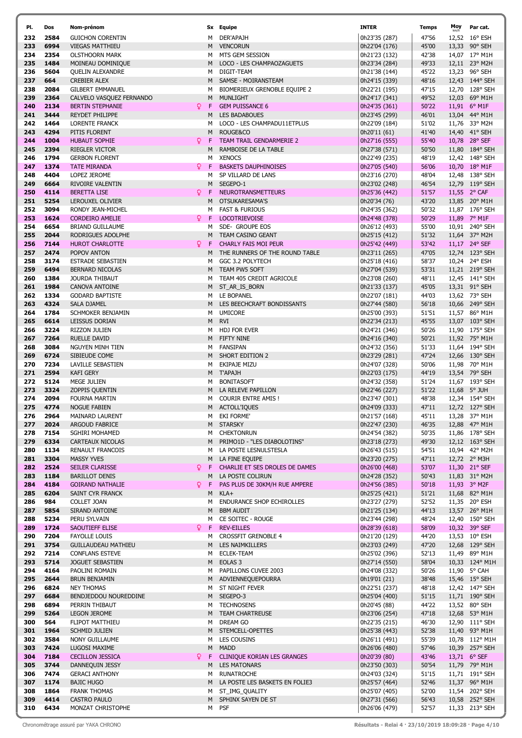| PI.        | Dos          | Nom-prénom                                           |
|------------|--------------|------------------------------------------------------|
| 232        | 2584         | <b>GUICHON CORENTIN</b>                              |
| 233        | 6994         | <b>VIEGAS MATTHIEU</b>                               |
| 234        | 2354         | <b>OLSTHOORN MARK</b>                                |
| 235<br>236 | 1484         | MOINEAU DOMINIQUE<br><b>OUELIN ALEXANDRE</b>         |
| 237        | 5604<br>664  | <b>CREBIER ALEX</b>                                  |
| 238        | 2084         | <b>GILBERT EMMANUEL</b>                              |
| 239        | 2364         | CALVELO VASQUEZ FERNANDO                             |
| 240        | 2134         | <b>BERTIN STEPHANIE</b>                              |
| 241        | 3444         | REYDET PHILIPPE                                      |
| 242        | 1464         | <b>LORENTE FRANCK</b>                                |
| 243        | 4294         | PITIS FLORENT                                        |
| 244        | 1004         | <b>HUBAUT SOPHIE</b>                                 |
| 245<br>246 | 2394<br>1794 | RIEGLER VICTOR<br><b>GERBON FLORENT</b>              |
| 247        | 1374         | <b>TATE MIRANDA</b>                                  |
| 248        | 4404         | LOPEZ JEROME                                         |
| 249        | 6664         | <b>RIVOIRE VALENTIN</b>                              |
| 250        | 4114         | <b>BERETTA LISE</b>                                  |
| 251        | 5254         | LEROUXEL OLIVIER                                     |
| 252        | 3094         | RONDY JEAN-MICHEL                                    |
| 253<br>254 | 1624<br>6654 | <b>CORDEIRO AMELIE</b><br><b>BRIAND GUILLAUME</b>    |
| 255        | 2044         | RODRIGUES ADOLPHE                                    |
| 256        | 7144         | <b>HUROT CHARLOTTE</b>                               |
| 257        | 2474         | POPOV ANTON                                          |
| 258        | 3174         | <b>ESTRADE SEBASTIEN</b>                             |
| 259        | 6494         | <b>BERNARD NICOLAS</b>                               |
| 260        | 1384         | <b>JOURDA THIBAUT</b>                                |
| 261<br>262 | 1984<br>1334 | <b>CANOVA ANTOINE</b><br><b>GODARD BAPTISTE</b>      |
| 263        | 4324         | <b>SALA DJAMEL</b>                                   |
| 264        | 1784         | SCHMOKER BENJAMIN                                    |
| 265        | 6614         | LEISSUS DORIAN                                       |
| 266        | 3224         | RIZZON JULIEN                                        |
| 267        | 7264         | RUELLE DAVID                                         |
| 268        | 3084<br>6724 | NGUYEN MINH TIEN<br>SIBIEUDE COME                    |
| 269<br>270 | 7234         | <b>LAVILLE SEBASTIEN</b>                             |
| 271        | 2594         | <b>KAFI GERY</b>                                     |
| 272        | 5124         | <b>MEGE JULIEN</b>                                   |
| 273        | 3324         | ZOPPIS QUENTIN                                       |
| 274        | 2094         | FOURNA MARTIN                                        |
| 275        | 4774         | <b>NOGUE FABIEN</b>                                  |
| 276<br>277 | 2964<br>2024 | <b>MAINARD LAURENT</b><br>ARGOUD FABRICE             |
| 278        | 7154         | SGHIRI MOHAMED                                       |
| 279        | 6334         | CARTEAUX NICOLAS                                     |
| 280        | 1134         | RENAULT FRANCOIS                                     |
| 281        | 3304         | <b>MASSY YVES</b>                                    |
| 282        | 2524         | <b>SEILER CLARISSE</b>                               |
| 283        | 1184<br>4184 | <b>BARILLOT DENIS</b>                                |
| 284<br>285 | 6204         | <b>GOIRAND NATHALIE</b><br>SAINT CYR FRANCK          |
| 286        | 984          | COLLET JOAN                                          |
| 287        | 5854         | SIRAND ANTOINE                                       |
| 288        | 5234         | PERU SYLVAIN                                         |
| 289        | 1724         | <b>SAOUTIEFF ELISE</b>                               |
| 290        | 7204         | <b>FAYOLLE LOUIS</b>                                 |
| 291<br>292 | 3754<br>7214 | <b>GUILLAUDEAU MATHIEU</b><br><b>CONFLANS ESTEVE</b> |
| 293        | 5714         | <b>JOGUET SEBASTIEN</b>                              |
| 294        | 4164         | PAOLINI ROMAIN                                       |
| 295        | 2644         | <b>BRUN BENJAMIN</b>                                 |
| 296        | 6824         | <b>NEY THOMAS</b>                                    |
| 297        | 6684         | BENDJEDDOU NOUREDDINE                                |
| 298        | 6894         | PERRIN THIBAUT                                       |
| 299<br>300 | 5264<br>564  | <b>LEGON JEROME</b><br><b>FLIPOT MATTHIEU</b>        |
| 301        | 1964         | <b>SCHMID JULIEN</b>                                 |
| 302        | 3584         | <b>NONY GUILLAUME</b>                                |
| 303        | 7424         | LUGOSI MAXIME                                        |
| 304        | 7184         | <b>CECILLON JESSICA</b>                              |
| 305        | 3744         | DANNEQUIN JESSY                                      |
| 306        | 7474         | <b>GERACI ANTHONY</b>                                |
| 307        | 1174         | <b>BAJIC HUGO</b>                                    |
| 308<br>309 | 1864<br>4414 | <b>FRANK THOMAS</b><br><b>CASTRO PAULO</b>           |
| 310        | 6434         | MONZAT CHRISTOPHE                                    |
|            |              |                                                      |

| PI.        | Dos          | Nom-prénom                                                |             | Sx Equipe                                         | <b>INTER</b>                   | <b>Temps</b>   | Moy          | Par cat.                         |
|------------|--------------|-----------------------------------------------------------|-------------|---------------------------------------------------|--------------------------------|----------------|--------------|----------------------------------|
| 232        | 2584         | <b>GUICHON CORENTIN</b>                                   | м           | DER'APAJH                                         | 0h23'35 (287)                  | 47'56          |              | 12,52 16° ESH                    |
| 233        | 6994         | <b>VIEGAS MATTHIEU</b>                                    | M           | <b>VENCORUN</b>                                   | 0h22'04 (176)                  | 45'00          |              | 13,33 90° SEH                    |
| 234        | 2354         | <b>OLSTHOORN MARK</b>                                     | м           | MTS GEM SESSION                                   | 0h21'23 (132)                  | 42'38          |              | 14,07 17° M1H                    |
| 235        | 1484         | MOINEAU DOMINIQUE                                         | M           | LOCO - LES CHAMPAOZAGUETS                         | 0h23'34 (284)                  | 49'33          |              | 12,11 23° M2H                    |
| 236        | 5604         | <b>QUELIN ALEXANDRE</b>                                   | м           | DIGIT-TEAM                                        | 0h21'38 (144)                  | 45'22          |              | 13,23 96° SEH                    |
| 237        | 664          | <b>CREBIER ALEX</b>                                       | M           | SAMSE - MOIRANSTEAM                               | 0h24'15 (339)                  | 48'16          |              | 12,43 144° SEH                   |
| 238        | 2084         | <b>GILBERT EMMANUEL</b>                                   | м           | BIOMERIEUX GRENOBLE EQUIPE 2                      | 0h22'21 (195)                  | 47'15          |              | 12,70 128° SEH                   |
| 239<br>240 | 2364<br>2134 | CALVELO VASQUEZ FERNANDO<br><b>BERTIN STEPHANIE</b><br>Q. | М<br>F      | <b>MUNLIGHT</b><br><b>GEM PUISSANCE 6</b>         | 0h24'17 (341)                  | 49'52<br>50'22 |              | 12,03 69° M1H<br>11,91 6° M1F    |
| 241        | 3444         | REYDET PHILIPPE                                           | M           | <b>LES BADABOUES</b>                              | 0h24'35 (361)<br>0h23'45 (299) | 46'01          |              | 13,04 44° M1H                    |
| 242        | 1464         | <b>LORENTE FRANCK</b>                                     | м           | LOCO - LES CHAMPADU11ETPLUS                       | 0h22'09 (184)                  | 51'02          |              | 11,76 33° M2H                    |
| 243        | 4294         | PITIS FLORENT                                             | M           | ROUGE&CO                                          | 0h20'11 (61)                   | 41'40          |              | 14,40 41° SEH                    |
| 244        | 1004         | Q.<br><b>HUBAUT SOPHIE</b>                                | F           | TEAM TRAIL GENDARMERIE 2                          | 0h27'16 (555)                  | 55'40          |              | 10,78 28° SEF                    |
| 245        | 2394         | <b>RIEGLER VICTOR</b>                                     | M           | RAMBOISE DE LA TABLE                              | 0h27'38 (571)                  | 50'50          |              | 11,80 184° SEH                   |
| 246        | 1794         | <b>GERBON FLORENT</b>                                     |             | M XENOCS                                          | 0h22'49 (235)                  | 48'19          |              | 12,42 148° SEH                   |
| 247        | 1374         | Q.<br><b>TATE MIRANDA</b>                                 | $\mathsf F$ | <b>BASKETS DAUPHINOISES</b>                       | 0h27'05 (540)                  | 56'06          |              | 10,70 18° M1F                    |
| 248        | 4404         | LOPEZ JEROME                                              | м           | SP VILLARD DE LANS                                | 0h23'16 (270)                  | 48'04          |              | 12,48 138° SEH                   |
| 249        | 6664         | RIVOIRE VALENTIN                                          | M           | SEGEPO-1                                          | 0h23'02 (248)                  | 46'54          |              | 12,79 119° SEH                   |
| 250        | 4114         | Q.<br><b>BERETTA LISE</b>                                 | -F          | <b>NEUROTRANSMETTEURS</b>                         | 0h25'36 (442)                  | 51'57          |              | 11,55 2° CAF                     |
| 251        | 5254         | LEROUXEL OLIVIER                                          | M           | OTSUKARESAMA'S                                    | 0h20'34 (76)                   | 43'20          |              | 13,85 20° M1H                    |
| 252        | 3094<br>1624 | RONDY JEAN-MICHEL<br><b>CORDEIRO AMELIE</b>               | м<br>Ω F    | <b>FAST &amp; FURIOUS</b><br><b>LOCOTRIEVOISE</b> | 0h24'35 (362)<br>0h24'48 (378) | 50'32<br>50'29 |              | 11,87 176° SEH                   |
| 253<br>254 | 6654         | <b>BRIAND GUILLAUME</b>                                   | м           | SDE- GROUPE EOS                                   |                                | 55'00          |              | 11,89 7° M1F<br>10,91 240° SEH   |
| 255        | 2044         | RODRIGUES ADOLPHE                                         | М           | TEAM CASINO GEANT                                 | 0h26'12 (493)<br>0h25'15 (412) | 51'32          |              | 11,64 37° M2H                    |
| 256        | 7144         | <b>HUROT CHARLOTTE</b><br>Q.                              | F           | CHARLY FAIS MOI PEUR                              | 0h25'42 (449)                  | 53'42          |              | 11,17 24° SEF                    |
| 257        | 2474         | POPOV ANTON                                               |             | M THE RUNNERS OF THE ROUND TABLE                  | 0h23'11 (265)                  | 47'05          |              | 12,74 123° SEH                   |
| 258        | 3174         | <b>ESTRADE SEBASTIEN</b>                                  | м           | GGC 3.2 POLYTECH                                  | 0h25'18 (416)                  | 58'37          |              | 10,24 24° ESH                    |
| 259        | 6494         | <b>BERNARD NICOLAS</b>                                    | M           | TEAM PW5 SOFT                                     | 0h27'04 (539)                  | 53'31          |              | 11,21 219° SEH                   |
| 260        | 1384         | JOURDA THIBAUT                                            | м           | TEAM 405 CREDIT AGRICOLE                          | 0h23'08 (260)                  | 48'11          |              | 12,45 141° SEH                   |
| 261        | 1984         | <b>CANOVA ANTOINE</b>                                     | M           | ST_AR_IS_BORN                                     | 0h21'33 (137)                  | 45'05          |              | 13,31 91° SEH                    |
| 262        | 1334         | <b>GODARD BAPTISTE</b>                                    |             | M LE BOPANEL                                      | 0h22'07 (181)                  | 44'03          |              | 13,62 73° SEH                    |
| 263        | 4324         | SALA DJAMEL                                               | М           | LES BEECHCRAFT BONDISSANTS                        | 0h27'44 (580)                  | 56'18          |              | 10,66 249° SEH                   |
| 264        | 1784         | SCHMOKER BENJAMIN                                         | м           | <b>UMICORE</b>                                    | 0h25'00 (393)                  | 51'51          |              | 11,57 86° M1H                    |
| 265        | 6614         | LEISSUS DORIAN                                            | м           | <b>RVI</b>                                        | 0h22'34 (213)                  | 45'55          |              | 13,07 103° SEH                   |
| 266<br>267 | 3224<br>7264 | RIZZON JULIEN<br><b>RUELLE DAVID</b>                      | м<br>м      | <b>HDJ FOR EVER</b><br><b>FIFTY NINE</b>          | 0h24'21 (346)<br>0h24'16 (340) | 50'26<br>50'21 |              | 11,90 175° SEH<br>11,92 75° M1H  |
| 268        | 3084         | NGUYEN MINH TIEN                                          | м           | FANSIPAN                                          | 0h24'32 (356)                  | 51'33          |              | 11,64 194° SEH                   |
| 269        | 6724         | SIBIEUDE COME                                             | М           | SHORT EDITION 2                                   | 0h23'29 (281)                  | 47'24          |              | 12,66 130° SEH                   |
| 270        | 7234         | LAVILLE SEBASTIEN                                         | м           | EKIPAJE MIZU                                      | 0h24'07 (328)                  | 50'06          |              | 11,98 70° M1H                    |
| 271        | 2594         | <b>KAFI GERY</b>                                          |             | M T'APAJH                                         | 0h22'03 (175)                  | 44'19          |              | 13,54 79° SEH                    |
| 272        | 5124         | MEGE JULIEN                                               | м           | <b>BONITASOFT</b>                                 | 0h24'32 (358)                  | 51'24          |              | 11,67 193° SEH                   |
| 273        | 3324         | ZOPPIS QUENTIN                                            | M           | LA RELEVE PAPILLON                                | 0h22'46 (227)                  | 51'22          | 11,68 5° JUH |                                  |
| 274        | 2094         | <b>FOURNA MARTIN</b>                                      | М           | <b>COURIR ENTRE AMIS!</b>                         | 0h23'47 (301)                  | 48'38          |              | 12,34 154° SEH                   |
| 275        | 4774         | <b>NOGUE FABIEN</b>                                       |             | M ACTOLL'IQUES                                    | 0h24'09 (333)                  | 47'11          |              | 12,72 127° SEH                   |
| 276        | 2964         | MAINARD LAURENT                                           | м           | EKI FORME'                                        | 0h21'57 (168)                  | 45'11          |              | 13,28 37° M1H                    |
| 277        | 2024         | ARGOUD FABRICE                                            | м           | <b>STARSKY</b>                                    | 0h22'47 (230)                  | 46'35          |              | 12,88 47° M1H                    |
| 278<br>279 | 7154<br>6334 | SGHIRI MOHAMED<br>CARTEAUX NICOLAS                        | м<br>M      | <b>CHEKTONRUN</b><br>PRIMO1D - "LES DIABOLOTINS"  | 0h24'54 (382)<br>0h23'18 (273) | 50'35<br>49'30 |              | 11,86 178° SEH<br>12,12 163° SEH |
| 280        | 1134         | RENAULT FRANCOIS                                          | М           | LA POSTE LESNULSTESLA                             | 0h26'43 (515)                  | 54'51          |              | 10,94 42° M2H                    |
| 281        | 3304         | <b>MASSY YVES</b>                                         | M           | LA FINE EQUIPE                                    | 0h23'20 (275)                  | 47'11          |              | 12,72 2° M3H                     |
| 282        | 2524         | Q<br>SEILER CLARISSE                                      | F           | CHARLIE ET SES DROLES DE DAMES                    | 0h26'00 (468)                  | 53'07          |              | 11,30 21° SEF                    |
| 283        | 1184         | <b>BARILLOT DENIS</b>                                     | M           | LA POSTE COLIRUN                                  | 0h24'28 (352)                  | 50'43          |              | 11,83 31° M2H                    |
| 284        | 4184         | <b>GOIRAND NATHALIE</b><br>Q.                             | F           | PAS PLUS DE 30KM/H RUE AMPERE                     | 0h24'56 (385)                  | 50'18          |              | 11,93 3° M2F                     |
| 285        | 6204         | SAINT CYR FRANCK                                          | M           | KLA+                                              | 0h25'25 (421)                  | 51'21          |              | 11,68 82° M1H                    |
| 286        | 984          | COLLET JOAN                                               | М           | ENDURANCE SHOP ECHIROLLES                         | 0h23'27 (279)                  | 52'52          |              | 11,35 20° ESH                    |
| 287        | 5854         | SIRAND ANTOINE                                            | M           | <b>BBM AUDIT</b>                                  | 0h21'25 (134)                  | 44'13          |              | 13,57 26° M1H                    |
| 288        | 5234<br>1724 | PERU SYLVAIN<br>Q.                                        | м           | CE SOITEC - ROUGE<br><b>REV-EILLES</b>            | 0h23'44 (298)<br>0h28'39 (618) | 48'24<br>58'09 |              | 12,40 150° SEH<br>10,32 39° SEF  |
| 289<br>290 | 7204         | SAOUTIEFF ELISE<br><b>FAYOLLE LOUIS</b>                   | F<br>м      | <b>CROSSFIT GRENOBLE 4</b>                        | 0h21'20 (129)                  | 44'20          |              | 13,53 10° ESH                    |
| 291        | 3754         | <b>GUILLAUDEAU MATHIEU</b>                                | M           | LES NAIMKILLERS                                   | 0h23'03 (249)                  | 47'20          |              | 12,68 129° SEH                   |
| 292        | 7214         | <b>CONFLANS ESTEVE</b>                                    | м           | <b>ECLEK-TEAM</b>                                 | 0h25'02 (396)                  | 52'13          |              | 11,49 89° M1H                    |
| 293        | 5714         | JOGUET SEBASTIEN                                          | M           | EOLAS <sub>3</sub>                                | 0h27'14 (550)                  | 58'04          |              | 10,33 124° M1H                   |
| 294        | 4164         | PAOLINI ROMAIN                                            | м           | PAPILLONS CUVEE 2003                              | 0h24'08 (332)                  | 50'26          |              | 11,90 5° CAH                     |
| 295        | 2644         | <b>BRUN BENJAMIN</b>                                      | M           | ADVIENNEQUEPOURRA                                 | 0h19'01 (21)                   | 38'48          |              | 15,46 15° SEH                    |
| 296        | 6824         | <b>NEY THOMAS</b>                                         | M           | ST NIGHT FEVER                                    | 0h22'51 (237)                  | 48'18          |              | 12,42 147° SEH                   |
| 297        | 6684         | BENDJEDDOU NOUREDDINE                                     | M           | SEGEPO-3                                          | 0h25'04 (400)                  | 51'15          |              | 11,71 190° SEH                   |
| 298        | 6894         | PERRIN THIBAUT                                            |             | M TECHNOSENS                                      | 0h20'45 (88)                   | 44'22          |              | 13,52 80° SEH                    |
| 299        | 5264         | <b>LEGON JEROME</b>                                       | М           | <b>TEAM CHARTREUSE</b>                            | 0h23'06 (254)                  | 47'18          |              | 12,68 53° M1H                    |
| 300<br>301 | 564<br>1964  | FLIPOT MATTHIEU<br><b>SCHMID JULIEN</b>                   | м<br>м      | DREAM GO<br>STEMCELL-OPETTES                      | 0h22'35 (215)<br>0h25'38 (443) | 46'30<br>52'38 |              | 12,90 111° SEH<br>11,40 93° M1H  |
| 302        | 3584         | NONY GUILLAUME                                            | М           | LES COUSINS                                       | 0h26'11 (491)                  | 55'39          |              | 10,78 112° M1H                   |
| 303        | 7424         | LUGOSI MAXIME                                             | М           | <b>MADD</b>                                       | 0h26'06 (480)                  | 57'46          |              | 10,39 257° SEH                   |
| 304        | 7184         | <b>CECILLON JESSICA</b><br>Q                              | F           | CLINIQUE KORIAN LES GRANGES                       | 0h20'39 (80)                   | 43'46          | 13,71 6° SEF |                                  |
| 305        | 3744         | DANNEQUIN JESSY                                           | M           | <b>LES MATONARS</b>                               | 0h23'50 (303)                  | 50'54          |              | 11,79 79° M1H                    |
| 306        | 7474         | <b>GERACI ANTHONY</b>                                     | М           | <b>RUNATROCHE</b>                                 | 0h24'03 (324)                  | 51'15          |              | 11,71 191° SEH                   |
| 307        | 1174         | <b>BAJIC HUGO</b>                                         | М           | LA POSTE LES BASKETS EN FOLIE3                    | 0h25'57 (464)                  | 52'46          |              | 11,37 96° M1H                    |
| 308        | 1864         | <b>FRANK THOMAS</b>                                       | м           | ST_IMG_QUALITY                                    | 0h25'07 (405)                  | 52'00          |              | 11,54 202° SEH                   |
| 309        | 4414         | <b>CASTRO PAULO</b>                                       | M.          | SPHINX SAYEN DE ST                                | 0h27'31 (566)                  | 56'43          |              | 10,58 252° SEH                   |
| 310        | 6434         | MONZAT CHRISTOPHE                                         |             | M PSF                                             | 0h26'06 (479)                  | 52'57          |              | 11,33 213° SEH                   |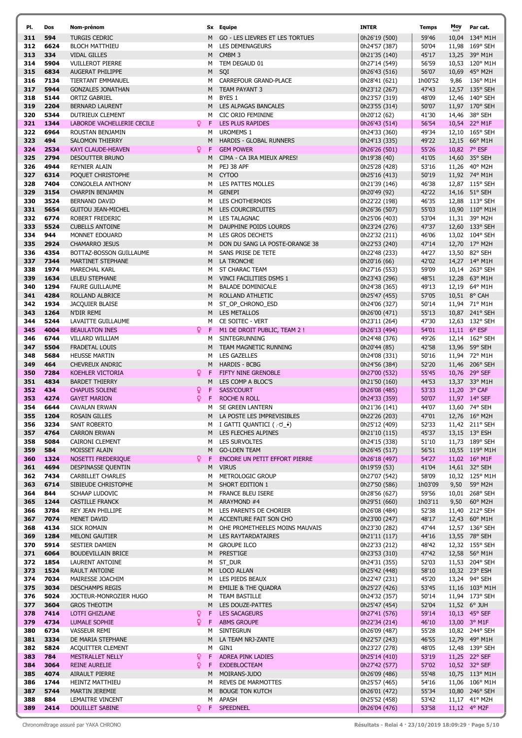| PI.        | Dos          | Nom-prénom                                      |                    |        | Sx Equipe                                                | <b>INTER</b>                   | <b>Temps</b>   | Moy  | Par cat.                        |
|------------|--------------|-------------------------------------------------|--------------------|--------|----------------------------------------------------------|--------------------------------|----------------|------|---------------------------------|
| 311        | 594          | <b>TURGIS CEDRIC</b>                            |                    | M      | GO - LES LIEVRES ET LES TORTUES                          | 0h26'19 (500)                  | 59'46          |      | 10,04 134° M1H                  |
| 312        | 6624         | <b>BLOCH MATTHIEU</b>                           |                    | м      | <b>LES DEMENAGEURS</b>                                   | 0h24'57 (387)                  | 50'04          |      | 11,98 169° SEH                  |
| 313        | 334          | <b>VIDAL GILLES</b>                             |                    | M      | CMBM <sub>3</sub>                                        | 0h21'35 (140)                  | 45'17          |      | 13,25 39° M1H                   |
| 314        | 5904         | <b>VUILLEROT PIERRE</b>                         |                    | м      | TEM DEGAUD 01                                            | 0h27'14 (549)                  | 56'59          |      | 10,53 120° M1H                  |
| 315        | 6834         | <b>AUGERAT PHILIPPE</b>                         |                    | M      | SQI                                                      | 0h26'43 (516)                  | 56'07          |      | 10,69 45° M2H                   |
| 316        | 7134         | TIERTANT EMMANUEL                               |                    | м      | CARREFOUR GRAND-PLACE                                    | 0h28'41 (621)                  | 1h00'52        |      | 9,86 136° M1H                   |
| 317        | 5944         | <b>GONZALES JONATHAN</b>                        |                    | M      | TEAM PAYANT 3                                            | 0h23'12 (267)                  | 47'43          |      | 12,57 135° SEH                  |
| 318        | 5144         | <b>ORTIZ GABRIEL</b>                            |                    | м      | BYES 1                                                   | 0h23'57 (319)                  | 48'09          |      | 12,46 140° SEH                  |
| 319        | 2204         | <b>BERNARD LAURENT</b>                          |                    | м      | LES ALPAGAS BANCALES                                     | 0h23'55 (314)                  | 50'07          |      | 11,97 170° SEH                  |
| 320        | 5344         | DUTRIEUX CLEMENT                                |                    | м      | <b>CIC ORIO FEMININE</b>                                 | 0h20'12 (62)                   | 41'30          |      | 14,46 38° SEH                   |
| 321        | 1344         | LABORDE VACHELLERIE CECILE                      | Q.<br>F            |        | LES PLUS RAPIDES                                         | 0h26'43 (514)                  | 56'54          |      | 10,54 22° M1F                   |
| 322        | 6964         | ROUSTAN BENJAMIN                                |                    | м      | <b>UROMEMS 1</b>                                         | 0h24'33 (360)                  | 49'34          |      | 12,10 165° SEH                  |
| 323<br>324 | 494<br>2534  | <b>SALOMON THIERRY</b>                          | Q.<br>F            | M      | HARDIS - GLOBAL RUNNERS<br><b>GEM POWER</b>              | 0h24'13 (335)                  | 49'22<br>55'26 |      | 12,15 66° M1H                   |
| 325        | 2794         | KAYI CLAUDE-HEAVEN<br>DESOUTTER BRUNO           |                    | М      | CIMA - CA IRA MIEUX APRES!                               | 0h26'26 (501)<br>0h19'38 (40)  | 41'05          |      | 10,82 7° ESF<br>14,60 35° SEH   |
| 326        | 4944         | <b>REYNIER ALAIN</b>                            |                    | м      | PEJ 38 APF                                               | 0h25'28 (428)                  | 53'16          |      | 11,26 40° M2H                   |
| 327        | 6314         | POQUET CHRISTOPHE                               |                    | M      | CYTOO                                                    | 0h25'16 (413)                  | 50'19          |      | 11,92 74° M1H                   |
| 328        | 7404         | CONGOLELA ANTHONY                               |                    | М      | LES PATTES MOLLES                                        | 0h21'39 (146)                  | 46'38          |      | 12,87 115° SEH                  |
| 329        | 3154         | CHARPIN BENJAMIN                                |                    | M      | <b>GENEPI</b>                                            | 0h20'49 (92)                   | 42'22          |      | 14,16 51° SEH                   |
| 330        | 3524         | <b>BERNAND DAVID</b>                            |                    | м      | LES CHOTHERMOIS                                          | 0h22'22 (198)                  | 46'35          |      | 12,88 113° SEH                  |
| 331        | 5654         | <b>GUITOU JEAN-MICHEL</b>                       |                    | M      | <b>LES COURCIRCUITES</b>                                 | 0h26'36 (507)                  | 55'03          |      | 10,90 110° M1H                  |
| 332        | 6774         | ROBERT FREDERIC                                 |                    | м      | <b>LES TALAGNAC</b>                                      | 0h25'06 (403)                  | 53'04          |      | 11,31 39° M2H                   |
| 333        | 5524         | <b>CUBELLS ANTOINE</b>                          |                    | M      | DAUPHINE POIDS LOURDS                                    | 0h23'24 (276)                  | 47'37          |      | 12,60 133° SEH                  |
| 334        | 944          | MONNET EDOUARD                                  |                    | м      | LES GROS DECHETS                                         | 0h22'32 (211)                  | 46'06          |      | 13,02 104° SEH                  |
| 335        | 2924         | <b>CHAMARRO JESUS</b>                           |                    | M      | DON DU SANG LA POSTE-ORANGE 38                           | 0h22'53 (240)                  | 47'14          |      | 12,70 17° M2H                   |
| 336        | 4354         | BOTTAZ-BOSSON GUILLAUME                         |                    | м      | SANS PRISE DE TETE                                       | 0h22'48 (233)                  | 44'27          |      | 13,50 82° SEH                   |
| 337        | 7344         | MARTINET STEPHANE                               |                    | М      | LA TRONCHE                                               | 0h20'16 (66)                   | 42'02          |      | 14,27 14° M1H                   |
| 338        | 1974         | MARECHAL KARL                                   |                    | м      | ST CHARAC TEAM                                           | 0h27'16 (553)                  | 59'09          |      | 10,14 263° SEH                  |
| 339<br>340 | 1634<br>1294 | <b>LELEU STEPHANE</b><br><b>FAURE GUILLAUME</b> |                    | M<br>м | VINCI FACILITIES DSMS 1<br><b>BALADE DOMINICALE</b>      | 0h23'43 (296)                  | 48'51<br>49'13 |      | 12,28 63° M1H                   |
| 341        | 4284         | ROLLAND ALBRICE                                 |                    | M      | ROLLAND ATHLETIC                                         | 0h24'38 (365)<br>0h25'47 (455) | 57'05          |      | 12,19 64° M1H<br>10,51 8° CAH   |
| 342        | 1934         | JACQUIER BLAISE                                 |                    | м      | ST_OP_CHRONO_ESD                                         | 0h24'06 (327)                  | 50'14          |      | 11,94 71° M1H                   |
| 343        | 1264         | N'DIR REMI                                      |                    | M      | <b>LES METALLOS</b>                                      | 0h26'00 (471)                  | 55'13          |      | 10,87 241° SEH                  |
| 344        | 5244         | LAVAITTE GUILLAUME                              |                    | м      | CE SOITEC - VERT                                         | 0h23'11 (264)                  | 47'30          |      | 12,63 132° SEH                  |
| 345        | 4004         | <b>BEAULATON INES</b>                           | Q.<br>$\mathsf F$  |        | M1 DE DROIT PUBLIC, TEAM 2 !                             | 0h26'13 (494)                  | 54'01          |      | 11,11 6° ESF                    |
| 346        | 6744         | VILLARD WILLIAM                                 |                    | м      | SINTEGRUNNING                                            | 0h24'48 (376)                  | 49'26          |      | 12,14 162° SEH                  |
| 347        | 5504         | FRADETAL LOUIS                                  |                    | M      | TEAM MAGNETIC RUNNING                                    | 0h20'44 (85)                   | 42'58          |      | 13,96 59° SEH                   |
| 348        | 5684         | <b>HEUSSE MARTIN</b>                            |                    | м      | <b>LES GAZELLES</b>                                      | 0h24'08 (331)                  | 50'16          |      | 11,94 72° M1H                   |
| 349        | 464          | CHEVREUX ANDRIC                                 |                    | M      | <b>HARDIS - BCBG</b>                                     | 0h24'56 (384)                  | 52'20          |      | 11,46 206° SEH                  |
| 350        | 7284         | <b>KOEHLER VICTORIA</b>                         | Q<br>F             |        | FIFTY NINE GRENOBLE                                      | 0h27'00 (532)                  | 55'45          |      | 10,76 29° SEF                   |
| 351        | 4834         | <b>BARDET THIERRY</b>                           |                    | M      | LES COMP A BLOC'S                                        | 0h21'50 (160)                  | 44'53          |      | 13,37 33° M1H                   |
| 352        | 434          | <b>CHAPUIS SOLENE</b>                           | F<br>Q.            |        | SASS'COURT                                               | 0h26'08 (485)                  | 53'33          |      | 11,20 $3^{\circ}$ CAF           |
| 353        | 4274         | <b>GAYET MARION</b>                             | Q<br>F             |        | <b>ROCHE N ROLL</b>                                      | 0h24'33 (359)                  | 50'07          |      | 11,97 14° SEF                   |
| 354<br>355 | 6644<br>1204 | <b>CAVALAN ERWAN</b><br><b>ROSAIN GILLES</b>    |                    | м      | SE GREEN LANTERN<br>LA POSTE LES IMPREVISIBLES           | 0h21'36 (141)<br>0h22'26 (203) | 44'07<br>47'01 |      | 13,60 74° SEH<br>12,76 16° M2H  |
| 356        | 3234         | SANT ROBERTO                                    |                    | M<br>м | I GATTI QUANTICI (┌♂_•́)                                 | 0h25'12 (409)                  | 52'33          |      | 11,42 211° SEH                  |
| 357        | 4764         | <b>CARRON ERWAN</b>                             |                    | М      | LES FLECHES ALPINES                                      | 0h21'10 (115)                  | 45'37          |      | 13,15 13° ESH                   |
| 358        | 5084         | CAIRONI CLEMENT                                 |                    | м      | <b>LES SURVOLTES</b>                                     | 0h24'15 (338)                  | 51'10          |      | 11,73 189° SEH                  |
| 359        | 584          | MOISSET ALAIN                                   |                    | М      | <b>GO-LDEN TEAM</b>                                      | 0h26'45 (517)                  | 56'51          |      | 10,55 119° M1H                  |
| 360        | 1324         | NOSETTI FREDERIQUE                              | Q.<br>$\mathsf{F}$ |        | ENCORE UN PETIT EFFORT PIERRE                            | 0h26'18 (497)                  | 54'27          |      | 11,02 16° M1F                   |
| 361        | 4694         | DESPINASSE QUENTIN                              |                    | М      | <b>VIRUS</b>                                             | 0h19'59 (53)                   | 41'04          |      | 14,61 32° SEH                   |
| 362        | 7434         | <b>CARBILLET CHARLES</b>                        |                    | м      | METROLOGIC GROUP                                         | 0h27'07 (542)                  | 58'09          |      | 10,32 125° M1H                  |
| 363        | 6714         | SIBIEUDE CHRISTOPHE                             |                    | М      | SHORT EDITION 1                                          | 0h27'50 (586)                  | 1h03'09        | 9,50 | 59° M2H                         |
| 364        | 844          | SCHAAP LUDOVIC                                  |                    | м      | FRANCE BLEU ISERE                                        | 0h28'56 (627)                  | 59'56          |      | 10,01 268° SEH                  |
| 365        | 1244         | <b>CASTILLE FRANCK</b>                          |                    | M      | ARAYMOND #4                                              | 0h29'51 (660)                  | 1h03'11        | 9,50 | $60^{\circ}$ M2H                |
| 366        | 3784         | REY JEAN PHILLIPE                               |                    | м      | LES PARENTS DE CHORIER                                   | 0h26'08 (484)                  | 52'38<br>48'17 |      | 11,40 212° SEH                  |
| 367<br>368 | 7074<br>4134 | MENET DAVID<br><b>SICK ROMAIN</b>               |                    | M<br>м | ACCENTURE FAIT SON CHO<br>OHE PROMETHEELES MOINS MAUVAIS | 0h23'00 (247)<br>0h23'30 (282) | 47'44          |      | 12,43 60° M1H<br>12,57 136° SEH |
| 369        | 1284         | <b>MELONI GAUTIER</b>                           |                    | M      | LES RAYTARDATAIRES                                       | 0h21'11 (117)                  | 44'16          |      | 13,55 78° SEH                   |
| 370        | 5914         | SESTIER DAMIEN                                  |                    | м      | <b>GROUPE ILCO</b>                                       | 0h22'33 (212)                  | 48'42          |      | 12,32 155° SEH                  |
| 371        | 6064         | <b>BOUDEVILLAIN BRICE</b>                       |                    | М      | PREST'IGE                                                | 0h23'53 (310)                  | 47'42          |      | 12,58 56° M1H                   |
| 372        | 1854         | LAURENT ANTOINE                                 |                    | м      | ST_DUR                                                   | 0h24'31 (355)                  | 52'03          |      | 11,53 204° SEH                  |
| 373        | 1524         | RAULT ANTOINE                                   |                    | M      | LOCO ALLAN                                               | 0h25'42 (448)                  | 58'10          |      | 10,32 23° ESH                   |
| 374        | 7034         | MAIRESSE JOACHIM                                |                    | м      | LES PIEDS BEAUX                                          | 0h22'47 (231)                  | 45'20          |      | 13,24 94° SEH                   |
| 375        | 3034         | <b>DESCHAMPS REGIS</b>                          |                    | M      | <b>EMILIE &amp; THE QUADRA</b>                           | 0h25'27 (426)                  | 53'45          |      | 11,16 103° M1H                  |
| 376        | 5024         | JOCTEUR-MONROZIER HUGO                          |                    | М      | TEAM BASTILLE                                            | 0h24'32 (357)                  | 50'14          |      | 11,94 173° SEH                  |
| 377        | 3604         | <b>GROS THEOTIM</b>                             |                    | M      | LES DOUZE-PATTES                                         | 0h25'47 (454)                  | 52'04          |      | 11,52 $6^{\circ}$ JUH           |
| 378        | 7414         | LOTFI GHIZLANE                                  | ò<br>F             |        | <b>LES SACAGEURS</b>                                     | 0h27'41 (576)                  | 59'14          |      | 10,13 45° SEF                   |
| 379        | 4734         | LUMALE SOPHIE                                   | Q<br>F             |        | <b>ABMS GROUPE</b>                                       | 0h22'34 (214)                  | 46'10          |      | 13,00 3° M1F                    |
| 380        | 6734<br>3334 | <b>VASSEUR REMI</b>                             |                    | м      | SINTEGRUN                                                | 0h26'09 (487)                  | 55'28          |      | 10,82 244° SEH                  |
| 381<br>382 | 5824         | DE MARIA STEPHANE<br>ACQUITTER CLEMENT          |                    | М<br>М | LA TEAM NRJ-ZANTE<br>GIN1                                | 0h22'57 (243)<br>0h23'27 (278) | 46'55<br>48'05 |      | 12,79 49° M1H<br>12,48 139° SEH |
| 383        | 784          | MESTRALLET NELLY                                | ₽<br>F             |        | ADREA PINK LADIES                                        | 0h25'14 (410)                  | 53'19          |      | 11,25 22° SEF                   |
| 384        | 3064         | <b>REINE AURELIE</b>                            | Q.<br>F            |        | <b>EXDEBLOCTEAM</b>                                      | 0h27'42 (577)                  | 57'02          |      | 10,52 32° SEF                   |
| 385        | 4074         | AIRAULT PIERRE                                  |                    | M      | MOIRANS-JUDO                                             | 0h26'09 (486)                  | 55'48          |      | 10,75 113° M1H                  |
| 386        | 1744         | HEINTZ MATTHIEU                                 |                    | М      | REVES DE MARMOTTES                                       | 0h25'57 (465)                  | 54'16          |      | 11,06 106° M1H                  |
| 387        | 5744         | MARTIN JEREMIE                                  |                    | М      | <b>BOUGE TON KUTCH</b>                                   | 0h26'01 (472)                  | 55'34          |      | 10,80 246° SEH                  |
| 388        | 884          | LEMAITRE VINCENT                                |                    | М      | APASH                                                    | 0h25'52 (458)                  | 53'42          |      | 11,17 41° M2H                   |
| 389        | 2414         | <b>DOUILLET SABINE</b>                          | Q.<br>F            |        | SPEEDNEEL                                                | 0h26'04 (476)                  | 53'58          |      | 11,12 4° M2F                    |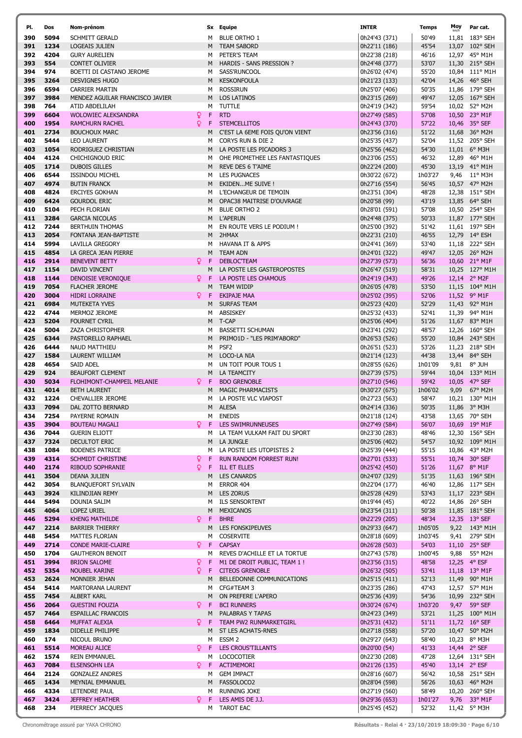| PI. | Dos  | Nom-prénom                      |     |             | Sx Equipe                      | <b>INTER</b>  | Temps   | Moy  | Par cat.                |
|-----|------|---------------------------------|-----|-------------|--------------------------------|---------------|---------|------|-------------------------|
| 390 | 5094 | SCHMITT GERALD                  |     | м           | <b>BLUE ORTHO 1</b>            | 0h24'43 (371) | 50'49   |      | 11,81 183° SEH          |
| 391 | 1234 | LOGEAIS JULIEN                  |     | M           | <b>TEAM SABORD</b>             | 0h22'11 (186) | 45'54   |      | 13,07 102° SEH          |
|     |      |                                 |     |             |                                |               |         |      |                         |
| 392 | 4204 | <b>GURY AURELIEN</b>            |     | м           | PETER'S TEAM                   | 0h22'38 (218) | 46'16   |      | 12,97 45° M1H           |
| 393 | 554  | <b>CONTET OLIVIER</b>           |     | M           | HARDIS - SANS PRESSION ?       | 0h24'48 (377) | 53'07   |      | 11,30 215° SEH          |
| 394 | 974  | BOETTI DI CASTANO JEROME        |     | м           | SASS'RUNCOOL                   | 0h26'02 (474) | 55'20   |      | 10,84 111° M1H          |
| 395 | 3264 | <b>DESVIGNES HUGO</b>           |     | М           | <b>KESKONFOULA</b>             | 0h21'23 (133) | 42'04   |      | 14,26 46° SEH           |
| 396 | 6594 | <b>CARRIER MARTIN</b>           |     | м           | <b>ROSSIRUN</b>                | 0h25'07 (406) | 50'35   |      | 11,86 179° SEH          |
| 397 | 3984 | MENDEZ AGUILAR FRANCISCO JAVIER |     | M           | <b>LOS LATINOS</b>             | 0h23'15 (269) | 49'47   |      | 12,05 167° SEH          |
|     |      |                                 |     |             |                                |               |         |      |                         |
| 398 | 764  | ATID ABDELILAH                  |     | м           | TUTTLE                         | 0h24'19 (342) | 59'54   |      | 10,02 52° M2H           |
| 399 | 6604 | <b>WOLOWIEC ALEKSANDRA</b>      | Q   | F           | <b>RTD</b>                     | 0h27'49 (585) | 57'08   |      | 10,50 23° M1F           |
| 400 | 1954 | <b>RAMCHURN RACHEL</b>          | Q   | F           | <b>STEMCELLITOS</b>            | 0h24'43 (370) | 57'22   |      | 10,46 35° SEF           |
| 401 | 2734 | <b>BOUCHOUX MARC</b>            |     | M           | C'EST LA 6EME FOIS QU'ON VIENT | 0h23'56 (316) | 51'22   |      | 11,68 36° M2H           |
| 402 | 5444 | <b>LEO LAURENT</b>              |     | м           | CORYS RUN & DIE 2              | 0h25'35 (437) | 52'04   |      | 11,52 205° SEH          |
| 403 | 1054 | RODRIGUEZ CHRISTIAN             |     | M           | LA POSTE LES PICADORS 3        | 0h25'56 (462) | 54'30   |      | 11,01 6° M3H            |
|     |      |                                 |     |             |                                |               |         |      |                         |
| 404 | 4124 | CHICHIGNOUD ERIC                |     | м           | OHE PROMETHEE LES FANTASTIQUES | 0h23'06 (255) | 46'32   |      | 12,89 46° M1H           |
| 405 | 1714 | <b>DUBOIS GILLES</b>            |     | М           | REVE DES 6 T'AIME              | 0h22'24 (200) | 45'30   |      | 13,19 41° M1H           |
| 406 | 6544 | <b>ISSINDOU MICHEL</b>          |     | м           | <b>LES PUGNACES</b>            | 0h30'22 (672) | 1h03'27 |      | 9,46 $11^{\circ}$ M3H   |
| 407 | 4974 | <b>BUTIN FRANCK</b>             |     | M           | EKIDENME SUIVE !               | 0h27'16 (554) | 56'45   |      | 10,57 47° M2H           |
| 408 | 4824 | <b>ERCIYES GOKHAN</b>           |     | м           | L'ECHANGEUR DE TEMOIN          | 0h23'51 (304) | 48'28   |      | 12,38 151° SEH          |
| 409 | 6424 | <b>GOURDOL ERIC</b>             |     | M           | OPAC38 MAITRISE D'OUVRAGE      | 0h20'58 (99)  | 43'19   |      | 13,85 64° SEH           |
|     |      |                                 |     |             |                                |               |         |      |                         |
| 410 | 5104 | PECH FLORIAN                    |     | м           | <b>BLUE ORTHO 2</b>            | 0h28'01 (591) | 57'08   |      | 10,50 254° SEH          |
| 411 | 3284 | <b>GARCIA NICOLAS</b>           |     | M           | <b>L'APERUN</b>                | 0h24'48 (375) | 50'33   |      | 11,87 177° SEH          |
| 412 | 7244 | <b>BERTHUIN THOMAS</b>          |     | м           | EN ROUTE VERS LE PODIUM !      | 0h25'00 (392) | 51'42   |      | 11,61 197° SEH          |
| 413 | 2054 | FONTANA JEAN-BAPTISTE           |     | м           | 2HMAX                          | 0h22'31 (210) | 46'55   |      | 12,79 14° ESH           |
| 414 | 5994 | <b>LAVILLA GREGORY</b>          |     | м           | <b>HAVANA IT &amp; APPS</b>    | 0h24'41 (369) | 53'40   |      | 11,18 222° SEH          |
|     |      |                                 |     |             |                                |               |         |      |                         |
| 415 | 4854 | LA GRECA JEAN PIERRE            |     | М           | <b>TEAM ADN</b>                | 0h24'01 (322) | 49'47   |      | 12,05 26° M2H           |
| 416 | 2914 | <b>BENEVENT BETTY</b>           | Q   | F           | DEBLOC'TEAM                    | 0h27'39 (573) | 56'36   |      | 10,60 21° M1F           |
| 417 | 1154 | DAVID VINCENT                   |     | М           | LA POSTE LES GASTEROPOSTES     | 0h26'47 (519) | 58'31   |      | 10,25 127° M1H          |
| 418 | 1144 | DENOISIE VERONIQUE              | Q.  | F           | LA POSTE LES CHAMOUS           | 0h24'19 (343) | 49'26   |      | 12,14 2° M2F            |
| 419 | 7054 | <b>FLACHER JEROME</b>           |     | м           | TEAM WIDIP                     | 0h26'05 (478) | 53'50   |      | 11,15 104° M1H          |
| 420 | 3004 | <b>HIDRI LORRAINE</b>           | Q.  | -F          | <b>EKIPAJE MAA</b>             | 0h25'02 (395) | 52'06   |      | 11,52 9° M1F            |
|     |      |                                 |     |             |                                |               |         |      |                         |
| 421 | 6984 | <b>MUTEKETA YVES</b>            |     | M           | <b>SURFAS TEAM</b>             | 0h25'23 (420) | 52'29   |      | 11,43 92° M1H           |
| 422 | 4744 | MERMOZ JEROME                   |     | м           | ABSISKEY                       | 0h25'32 (433) | 52'41   |      | 11,39 94° M1H           |
| 423 | 5204 | <b>FOURNET CYRIL</b>            |     |             | M T-CAP                        | 0h25'06 (404) | 51'26   |      | 11,67 83° M1H           |
| 424 | 5004 | ZAZA CHRISTOPHER                |     | м           | <b>BASSETTI SCHUMAN</b>        | 0h23'41 (292) | 48'57   |      | 12,26 160° SEH          |
| 425 | 6344 | PASTORELLO RAPHAEL              |     | M           | PRIMO1D - "LES PRIM'ABORD"     | 0h26'53 (526) | 55'20   |      | 10,84 243° SEH          |
|     |      |                                 |     |             |                                |               |         |      |                         |
| 426 | 6444 | NAUD MATTHIEU                   |     | м           | PSF <sub>2</sub>               | 0h26'51 (523) | 53'26   |      | 11,23 218° SEH          |
| 427 | 1584 | LAURENT WILLIAM                 |     | м           | LOCO-LA NIA                    | 0h21'14 (123) | 44'38   |      | 13,44 84° SEH           |
| 428 | 4654 | SAID ADEL                       |     | м           | UN TOIT POUR TOUS 1            | 0h28'55 (626) | 1h01'09 |      | $9,81$ 8° JUH           |
| 429 | 924  | <b>BEAUFORT CLEMENT</b>         |     | M           | LA TEAMCITY                    | 0h27'39 (575) | 59'44   |      | 10,04 133° M1H          |
| 430 | 5034 | FLOHIMONT-CHAMPEIL MELANIE      | Q   | F           | <b>BDO GRENOBLE</b>            | 0h27'10 (546) | 59'42   |      | 10,05 47° SEF           |
| 431 | 4014 | <b>BETH LAURENT</b>             |     | M           | MAGIC PHARMACISTS              | 0h30'27 (675) | 1h06'02 | 9,09 | 67° M2H                 |
|     |      |                                 |     |             |                                |               |         |      |                         |
| 432 | 1224 | CHEVALLIER JEROME               |     | м           | LA POSTE VLC VIAPOST           | 0h27'23 (563) | 58'47   |      | 10,21 130° M1H          |
| 433 | 7094 | DAL ZOTTO BERNARD               |     | M           | <b>ALESA</b>                   | 0h24'14 (336) | 50'35   |      | 11,86 3° M3H            |
| 434 | 7254 | PAYERNE ROMAIN                  |     | м           | <b>ENEDIS</b>                  | 0h21'18 (124) | 43'58   |      | 13,65 70° SEH           |
| 435 | 3904 | <b>BOUTEAU MAGALI</b>           |     |             | <b>Q</b> F LES SWIMRUNNEUSES   | 0h27'49 (584) | 56'07   |      | 10,69 19° M1F           |
| 436 | 7044 | <b>GUERIN ELIOTT</b>            |     | м           | LA TEAM VULKAM FAIT DU SPORT   | 0h23'30 (283) | 48'46   |      | 12,30 156° SEH          |
| 437 | 7324 | DECULTOT ERIC                   |     | M           | LA JUNGLE                      | 0h25'06 (402) | 54'57   |      | 10,92 109° M1H          |
|     |      |                                 |     |             |                                |               |         |      |                         |
| 438 | 1084 | <b>BODENES PATRICE</b>          |     | м           | LA POSTE LES UTOPISTES 2       | 0h25'39 (444) | 55'15   |      | 10,86 43° M2H           |
| 439 | 4314 | SCHMIDT CHRISTINE               | Q   | F           | RUN RANDOM FORREST RUN!        | 0h27'01 (533) | 55'51   |      | 10,74 30° SEF           |
| 440 | 2174 | RIBOUD SOPHRANIE                | Q   | F           | <b>ILL ET ELLES</b>            | 0h25'42 (450) | 51'26   |      | 11,67 $8^{\circ}$ M1F   |
| 441 | 3504 | DEANA JULIEN                    |     | М           | <b>LES CANARDS</b>             | 0h24'07 (329) | 51'35   |      | 11,63 196° SEH          |
| 442 | 3054 | <b>BLANQUEFORT SYLVAIN</b>      |     | м           | <b>ERROR 404</b>               | 0h22'04 (177) | 46'40   |      | 12,86 117° SEH          |
|     |      |                                 |     |             |                                |               |         |      |                         |
| 443 | 3924 | KILINDJIAN REMY                 |     | М           | <b>LES ZORUS</b>               | 0h25'28 (429) | 53'43   |      | 11,17 223° SEH          |
| 444 | 5494 | DOUNIA SALIM                    |     | м           | <b>ILS SENSORTENT</b>          | 0h19'44 (45)  | 40'22   |      | 14,86 26° SEH           |
| 445 | 4064 | LOPEZ URIEL                     |     | М           | MEXICANOS                      | 0h23'54 (311) | 50'38   |      | 11,85 181° SEH          |
| 446 | 5294 | <b>KHENG MATHILDE</b>           | Q.  | F           | <b>BHRE</b>                    | 0h22'29 (205) | 48'34   |      | 12,35 13° SEF           |
| 447 | 2214 | <b>BARRIER THIERRY</b>          |     | M           | LES FONSKIPEUVES               | 0h29'33 (647) | 1h05'05 |      | $9,22$ 143° M1H         |
| 448 | 5454 | MATTES FLORIAN                  |     | м           | <b>COSERVITE</b>               | 0h28'18 (609) | 1h03'45 |      | 9,41 279° SEH           |
|     |      |                                 |     |             |                                |               |         |      |                         |
| 449 | 2714 | <b>CONDE MARIE-CLAIRE</b>       | Ω F |             | <b>CAPSAY</b>                  | 0h26'28 (503) | 54'03   |      | 11,10 25° SEF           |
| 450 | 1704 | <b>GAUTHERON BENOIT</b>         |     | м           | REVES D'ACHILLE ET LA TORTUE   | 0h27'43 (578) | 1h00'45 |      | 9,88 55° M2H            |
| 451 | 3994 | <b>BRION SALOME</b>             | Q   | F           | M1 DE DROIT PUBLIC, TEAM 1 !   | 0h23'56 (315) | 48'58   |      | 12,25 4° ESF            |
| 452 | 5354 | NOUBEL KARINE                   | Q   | $\mathsf F$ | <b>CITEOS GRENOBLE</b>         | 0h26'32 (505) | 53'41   |      | 11,18 13° M1F           |
| 453 | 2624 | MONNIER JEHAN                   |     | M           | BELLEDONNE COMMUNICATIONS      | 0h25'15 (411) | 52'13   |      | 11,49 90° M1H           |
|     |      |                                 |     |             |                                |               |         |      |                         |
| 454 | 5414 | MARTORANA LAURENT               |     | м           | CFG#TEAM 3                     | 0h23'35 (286) | 47'43   |      | 12,57 57° M1H           |
| 455 | 7454 | <b>ALBERT KARL</b>              |     | M           | ON PREFERE L'APERO             | 0h25'36 (439) | 54'36   |      | 10,99 232° SEH          |
| 456 | 2064 | <b>GUESTINI FOUZIA</b>          | Q.  | F           | <b>BCI RUNNERS</b>             | 0h30'24 (674) | 1h03'20 |      | 9,47 59° SEF            |
| 457 | 7464 | <b>ESPAILLAC FRANCOIS</b>       |     | М           | PALABRAS Y TAPAS               | 0h24'23 (349) | 53'21   |      | 11,25 $100^{\circ}$ M1H |
| 458 | 6464 | MUFFAT ALEXIA                   | Q.  | F           | TEAM PW2 RUNMARKETGIRL         | 0h25'31 (432) | 51'11   |      | 11,72 16° SEF           |
|     |      |                                 |     |             |                                |               |         |      |                         |
| 459 | 1834 | DIDELLE PHILIPPE                |     | M           | ST LES ACHATS-RNES             | 0h27'18 (558) | 57'20   |      | 10,47 50° M2H           |
| 460 | 174  | NICOUL BRUNO                    |     | м           | ESSM <sub>2</sub>              | 0h29'27 (643) | 58'40   |      | 10,23 8° M3H            |
| 461 | 5514 | MOREAU ALICE                    | Q.  | $\mathsf F$ | <b>LES CROUS'TILLANTS</b>      | 0h20'00 (54)  | 41'33   |      | 14,44 2° SEF            |
| 462 | 1574 | <b>REIN EMMANUEL</b>            |     | м           | LOCOCOTIER                     | 0h22'30 (208) | 47'28   |      | 12,64 131° SEH          |
| 463 | 7084 | <b>ELSENSOHN LEA</b>            | ♀ F |             | <b>ACTIMEMORI</b>              | 0h21'26 (135) | 45'40   |      | 13,14 2° ESF            |
|     |      |                                 |     |             |                                |               |         |      |                         |
| 464 | 2124 | <b>GONZALEZ ANDRES</b>          |     | м           | <b>GEM IMPACT</b>              | 0h28'16 (607) | 56'42   |      | 10,58 251° SEH          |
| 465 | 1434 | MEYNIAL EMMANUEL                |     | М           | FASSOLOCO2                     | 0h28'04 (598) | 56'26   |      | 10,63 46° M2H           |
| 466 | 4334 | LETENDRE PAUL                   |     | м           | <b>RUNNING JOKE</b>            | 0h27'19 (560) | 58'49   |      | 10,20 260° SEH          |
| 467 | 3424 | <b>JEFFREY HEATHER</b>          | Q.  | F           | LES AMIS DE J.J.               | 0h29'36 (653) | 1h01'27 |      | 9,76 33° M1F            |
| 468 | 234  | PIERRECY JACQUES                |     |             | M TAROT EAC                    | 0h25'45 (452) | 52'32   |      | 11,42 5° M3H            |
|     |      |                                 |     |             |                                |               |         |      |                         |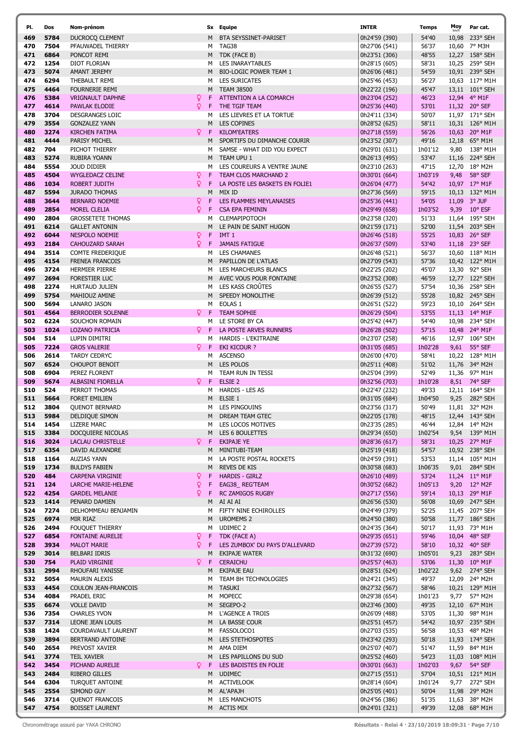| PI.        | Dos          | Nom-prénom                                        |
|------------|--------------|---------------------------------------------------|
| 469        | 5784         | <b>DUCROCQ CLEMENT</b>                            |
| 470        | 7504         | PFAUWADEL THIERRY                                 |
| 471        | 6864         | PONCOT REMI                                       |
| 472<br>473 | 1254<br>5074 | <b>DIOT FLORIAN</b><br><b>AMANT JEREMY</b>        |
| 474        | 6294         | THEBAULT REMI                                     |
| 475        | 4464         | <b>FOURNERIE REMI</b>                             |
| 476        | 5384         | <b>VRIGNAULT DAPHNE</b>                           |
| 477        | 4614         | <b>PAWLAK ELODIE</b>                              |
| 478        | 3704         | <b>DESGRANGES LOIC</b>                            |
| 479        | 3554         | <b>GONZALEZ YANN</b>                              |
| 480        | 3274         | <b>KIRCHEN FATIMA</b>                             |
| 481<br>482 | 4444<br>704  | <b>PARISY MICHEL</b><br>PICHOT THIERRY            |
| 483        | 5274         | <b>RUBIRA YOANN</b>                               |
| 484        | 5554         | <b>JOUD DIDIER</b>                                |
| 485        | 4504         | <b>WYGLEDACZ CELINE</b>                           |
| 486        | 1034         | ROBERT JUDITH                                     |
| 487        | 5594         | <b>JURADO THOMAS</b>                              |
| 488        | 3644         | <b>BERNARD NOEMIE</b>                             |
| 489<br>490 | 2854         | <b>MOREL CLELIA</b>                               |
| 491        | 2804<br>6214 | <b>GROSSETETE THOMAS</b><br><b>GALLET ANTONIN</b> |
| 492        | 6044         | <b>NESPOLO NOEMIE</b>                             |
| 493        | 2184         | <b>CAHOUZARD SARAH</b>                            |
| 494        | 3514         | <b>COMTE FREDERIQUE</b>                           |
| 495        | 4154         | <b>FRENEA FRANCOIS</b>                            |
| 496        | 3724         | <b>HERMIER PIERRE</b>                             |
| 497        | 2694         | FORESTIER LUC                                     |
| 498        | 2274         | <b>HURTAUD JULIEN</b>                             |
| 499<br>500 | 5754<br>5694 | MAHIOUZ AMINE<br>LANARO JASON                     |
| 501        | 4564         | <b>BERRODIER SOLENNE</b>                          |
| 502        | 6224         | SOUCHON ROMAIN                                    |
| 503        | 1024         | <b>LOZANO PATRICIA</b>                            |
| 504        | 514          | LUPIN DIMITRI                                     |
| 505        | 7224         | <b>GROS VALERIE</b>                               |
| 506        | 2614         | <b>TARDY CEDRYC</b>                               |
| 507        | 6524         | <b>CHOUPOT BENOIT</b>                             |
| 508<br>509 | 6904<br>5674 | PEREZ FLORENT<br><b>ALBASINI FIORELLA</b>         |
| 510        | 524          | PERROT THOMAS                                     |
| 511        | 5664         | <b>FORET EMILIEN</b>                              |
| 512        | 3804         | <b>QUENOT BERNARD</b>                             |
| 513        | 5984         | DELDIQUE SIMON                                    |
| 514        | 1454         | <b>LIZERE MARC</b>                                |
| 515<br>516 | 3384<br>3024 | DOCQUIERE NICOLAS<br><b>LACLAU CHRISTELLE</b>     |
| 517        | 6354         | <b>DAVID ALEXANDRE</b>                            |
| 518        | 1164         | <b>AUZIAS YANN</b>                                |
| 519        | 1734         | <b>BULDYS FABIEN</b>                              |
| 520        | 484          | <b>CARPENA VIRGINIE</b>                           |
| 521        | 124          | <b>LARCHE MARIE-HELENE</b>                        |
| 522        | 4254         | <b>GARDEL MELANIE</b>                             |
| 523<br>524 | 1414<br>7274 | PENARD DAMIEN<br>DELHOMMEAU BENJAMIN              |
| 525        | 6974         | MIR RIAZ                                          |
| 526        | 2494         | <b>FOUQUET THIERRY</b>                            |
| 527        | 6854         | <b>FONTAINE AURELIE</b>                           |
| 528        | 3934         | <b>MALOT MARIE</b>                                |
| 529        | 3014         | <b>BELBARI IDRIS</b>                              |
| 530        | 754          | <b>PLAID VIRGINIE</b>                             |
| 531<br>532 | 2994<br>5054 | RHOUFARI YANISSE<br><b>MAURIN ALEXIS</b>          |
| 533        | 4454         | <b>COULON JEAN-FRANCOIS</b>                       |
| 534        | 4084         | PRADEL ERIC                                       |
| 535        | 6674         | <b>VOLLE DAVID</b>                                |
| 536        | 7354         | <b>CHARLES YVON</b>                               |
| 537        | 7314         | <b>LEONE JEAN LOUIS</b>                           |
| 538        | 1424         | COURDAVAULT LAURENT                               |
| 539        | 3894         | <b>BERTRAND ANTOINE</b>                           |
| 540<br>541 | 2654<br>3774 | PREVOST XAVIER<br><b>TEIL XAVIER</b>              |
| 542        | 3454         | PICHAND AURELIE                                   |
| 543        | 2484         | <b>RIBERO GILLES</b>                              |
| 544        | 6304         | <b>TURQUET ANTOINE</b>                            |
| 545        | 2554         | SIMOND GUY                                        |
| 546        | 3714         | <b>QUENOT FRANCOIS</b>                            |
| 547        | 4754         | <b>BOISSET LAURENT</b>                            |

| PI.      | Dos  | Nom-prénom                          |    | Sx Equipe                      | <b>INTER</b>  | <b>Temps</b> | Moy  | Par cat.               |
|----------|------|-------------------------------------|----|--------------------------------|---------------|--------------|------|------------------------|
| 469      | 5784 | <b>DUCROCQ CLEMENT</b>              | M  | BTA SEYSSINET-PARISET          | 0h24'59 (390) | 54'40        |      | 10,98 233° SEH         |
|          | 7504 |                                     |    | M TAG38                        |               | 56'37        |      | 10,60 7° M3H           |
| 470      |      | PFAUWADEL THIERRY                   |    |                                | 0h27'06 (541) |              |      |                        |
| 471      | 6864 | PONCOT REMI                         | M  | TDK (FACE B)                   | 0h23'51 (306) | 48'55        |      | 12,27 158° SEH         |
| 472      | 1254 | DIOT FLORIAN                        | м  | LES INARAYTABLES               | 0h28'15 (605) | 58'31        |      | 10,25 259° SEH         |
| 473      | 5074 | AMANT JEREMY                        | M  | <b>BIO-LOGIC POWER TEAM 1</b>  | 0h26'06 (481) | 54'59        |      | 10,91 239° SEH         |
| 474      | 6294 | THEBAULT REMI                       | м  | <b>LES SURICATES</b>           | 0h25'46 (453) | 56'27        |      | 10,63 117° M1H         |
| 475      | 4464 | <b>FOURNERIE REMI</b>               | M  | <b>TEAM 38500</b>              | 0h22'22 (196) | 45'47        |      | 13,11 101° SEH         |
| 476      | 5384 | Q.<br><b>VRIGNAULT DAPHNE</b>       | F  | ATTENTION A LA COMARCH         | 0h23'04 (252) | 46'23        |      | 12,94 4° M1F           |
| 477      | 4614 | Q.<br><b>PAWLAK ELODIE</b>          | F  | THE TGIF TEAM                  | 0h25'36 (440) | 53'01        |      | 11,32 20° SEF          |
|          |      | <b>DESGRANGES LOIC</b>              |    |                                |               |              |      | 11,97 171° SEH         |
| 478      | 3704 |                                     | м  | LES LIEVRES ET LA TORTUE       | 0h24'11 (334) | 50'07        |      |                        |
| 479      | 3554 | <b>GONZALEZ YANN</b>                | M  | <b>LES COPINES</b>             | 0h28'52 (625) | 58'11        |      | 10,31 126° M1H         |
| 480      | 3274 | <b>KIRCHEN FATIMA</b><br>¥.         | F  | <b>KILOM'EATERS</b>            | 0h27'18 (559) | 56'26        |      | 10,63 20° M1F          |
| 481      | 4444 | PARISY MICHEL                       | M  | SPORTIFS DU DIMANCHE COURIR    | 0h23'52 (307) | 49'16        |      | 12,18 65° M1H          |
| 482      | 704  | PICHOT THIERRY                      | м  | SAMSE - WHAT DID YOU EXPECT    | 0h29'01 (631) | 1h01'12      |      | 9,80 138° M1H          |
| 483      | 5274 | RUBIRA YOANN                        |    | M TEAM UPU 1                   | 0h26'13 (495) | 53'47        |      | 11,16 224° SEH         |
| 484      | 5554 | <b>JOUD DIDIER</b>                  | м  | LES COUREURS A VENTRE JAUNE    | 0h23'10 (263) | 47'15        |      | 12,70 18° M2H          |
| 485      | 4504 | Q.<br><b>WYGLEDACZ CELINE</b>       | F  | <b>TEAM CLOS MARCHAND 2</b>    | 0h30'01 (664) | 1h03'19      | 9,48 | 58° SEF                |
|          | 1034 | Q.                                  |    |                                |               |              |      |                        |
| 486      |      | <b>ROBERT JUDITH</b>                | F  | LA POSTE LES BASKETS EN FOLIE1 | 0h26'04 (477) | 54'42        |      | 10,97 17° M1F          |
| 487      | 5594 | <b>JURADO THOMAS</b>                | м  | MIX ID                         | 0h27'36 (569) | 59'15        |      | 10,13 132° M1H         |
| 488      | 3644 | <b>BERNARD NOEMIE</b><br>Q.         | F  | LES FLAMMES MEYLANAISES        | 0h25'36 (441) | 54'05        |      | 11,09 3° JUF           |
| 489      | 2854 | Q.<br><b>MOREL CLELIA</b>           | F  | <b>CSA EPA FEMININ</b>         | 0h29'49 (658) | 1h03'52      |      | 9,39 10° ESF           |
| 490      | 2804 | <b>GROSSETETE THOMAS</b>            | м  | CLEMAPIPOTOCH                  | 0h23'58 (320) | 51'33        |      | 11,64 195° SEH         |
| 491      | 6214 | <b>GALLET ANTONIN</b>               | M  | LE PAIN DE SAINT HUGON         | 0h21'59 (171) | 52'00        |      | 11,54 203° SEH         |
| 492      | 6044 | Q.<br><b>NESPOLO NOEMIE</b>         | F  | IMT <sub>1</sub>               | 0h26'46 (518) | 55'25        |      | 10,83 26° SEF          |
| 493      | 2184 | Q.<br><b>CAHOUZARD SARAH</b>        | F. | <b>JAMAIS FATIGUE</b>          | 0h26'37 (509) | 53'40        |      | 11,18 23° SEF          |
|          |      |                                     |    |                                |               |              |      |                        |
| 494      | 3514 | <b>COMTE FREDERIQUE</b>             |    | M LES CHAMANES                 | 0h26'48 (521) | 56'37        |      | 10,60 118° M1H         |
| 495      | 4154 | <b>FRENEA FRANCOIS</b>              | M  | PAPILLON DE L'ATLAS            | 0h27'09 (543) | 57'36        |      | 10,42 122° M1H         |
| 496      | 3724 | <b>HERMIER PIERRE</b>               | м  | LES MARCHEURS BLANCS           | 0h22'25 (202) | 45'07        |      | 13,30 92° SEH          |
| 497      | 2694 | <b>FORESTIER LUC</b>                |    | M AVEC VOUS POUR FONTAINE      | 0h23'52 (308) | 46'59        |      | 12,77 122° SEH         |
| 498      | 2274 | HURTAUD JULIEN                      | M  | LES KASS CROÛTES               | 0h26'55 (527) | 57'54        |      | 10,36 258° SEH         |
| 499      | 5754 | MAHIOUZ AMINE                       | M  | SPEEDY MONOLITHE               | 0h26'39 (512) | 55'28        |      | 10,82 245° SEH         |
| 500      | 5694 | LANARO JASON                        |    | M EOLAS 1                      | 0h26'51 (522) | 59'23        |      | 10,10 264° SEH         |
| 501      | 4564 | Q.<br><b>BERRODIER SOLENNE</b>      | F. | <b>TEAM SOPHIE</b>             | 0h26'29 (504) | 53'55        |      | 11,13 14° M1F          |
|          |      |                                     |    |                                |               |              |      |                        |
| 502      | 6224 | SOUCHON ROMAIN                      |    | M LE STORE BY CA               | 0h25'42 (447) | 54'40        |      | 10,98 234° SEH         |
| 503      | 1024 | Q.<br><b>LOZANO PATRICIA</b>        | F  | LA POSTE ARVES RUNNERS         | 0h26'28 (502) | 57'15        |      | 10,48 24° M1F          |
| 504      | 514  | LUPIN DIMITRI                       | м  | HARDIS - L'EKITRAINE           | 0h23'07 (258) | 46'16        |      | 12,97 106° SEH         |
| 505      | 7224 | <b>GROS VALERIE</b><br>Q.           | -F | EKI KICOUR ?                   | 0h31'05 (685) | 1h02'28      |      | 9,61 55° SEF           |
| 506      | 2614 | <b>TARDY CEDRYC</b>                 | м  | <b>ASCENSO</b>                 | 0h26'00 (470) | 58'41        |      | 10,22 128° M1H         |
| 507      | 6524 | <b>CHOUPOT BENOIT</b>               | M  | LES POLOS                      | 0h25'11 (408) | 51'02        |      | 11,76 34° M2H          |
| 508      | 6904 | PEREZ FLORENT                       |    | M TEAM RUN IN TESSI            | 0h25'04 (399) | 52'49        |      | 11,36 97° M1H          |
| 509      | 5674 | Q.<br><b>ALBASINI FIORELLA</b>      | F  | ELSIE <sub>2</sub>             | 0h32'56 (703) | 1h10'28      |      | 8,51 74° SEF           |
|          |      |                                     |    |                                |               |              |      |                        |
| 510      | 524  | PERROT THOMAS                       | M  | <b>HARDIS - LES AS</b>         | 0h22'47 (232) | 49'33        |      | 12,11 164° SEH         |
| 511      | 5664 | <b>FORET EMILIEN</b>                | M  | ELSIE 1                        | 0h31'05 (684) | 1h04'50      |      | 9,25 282° SEH          |
| 512      | 3804 | <b>QUENOT BERNARD</b>               | M  | <b>LES PINGOUINS</b>           | 0h23'56 (317) | 50'49        |      | 11,81 32° M2H          |
| 513      | 5984 | DELDIQUE SIMON                      | M  | DREAM TEAM GTEC                | 0h22'05 (178) | 48'15        |      | 12,44 143° SEH         |
| 514 1454 |      | LIZERE MARC                         |    | M LES LOCOS MOTIVES            | 0h23'35 (285) | 46'44        |      | 12,84 14° M2H          |
| 515      | 3384 | DOCQUIERE NICOLAS                   | M  | LES 6 BOULETTES                | 0h29'34 (650) | 1h02'54      |      | 9,54 139° M1H          |
| 516      | 3024 | <b>LACLAU CHRISTELLE</b><br>¥.      | F. | EKIPAJE YE                     | 0h28'36 (617) | 58'31        |      | 10,25 27° M1F          |
| 517      | 6354 | DAVID ALEXANDRE                     | M  | MINITUBI-TEAM                  | 0h25'19 (418) | 54'57        |      | 10,92 238° SEH         |
|          |      | <b>AUZIAS YANN</b>                  |    |                                | 0h24'59 (391) |              |      |                        |
| 518      | 1164 |                                     | м  | LA POSTE POSTAL ROCKETS        |               | 53'53        |      | 11,14 105° M1H         |
| 519      | 1734 | <b>BULDYS FABIEN</b>                | M  | <b>REVES DE KIS</b>            | 0h30'58 (683) | 1h06'35      |      | 9,01 284° SEH          |
| 520      | 484  | Q.<br><b>CARPENA VIRGINIE</b>       | F  | <b>HARDIS - GIRLZ</b>          | 0h26'10 (489) | 53'24        |      | 11,24 11° M1F          |
| 521      | 124  | $\mathsf{Q}$<br>LARCHE MARIE-HELENE | F. | EAG38_REG'TEAM                 | 0h30'52 (682) | 1h05'13      |      | 9,20 12° M2F           |
| 522.     | 4254 | Q.<br><b>GARDEL MELANIE</b>         | F  | <b>RC ZAMIGOS RUGBY</b>        | 0h27'17 (556) | 59'14        |      | 10,13 29° M1F          |
| 523      | 1414 | PENARD DAMIEN                       |    | M AI AI AI                     | 0h26'56 (530) | 56'08        |      | 10,69 247° SEH         |
| 524      | 7274 | DELHOMMEAU BENJAMIN                 |    | M FIFTY NINE ECHIROLLES        | 0h24'49 (379) | 52'25        |      | 11,45 207° SEH         |
| 525      | 6974 | MIR RIAZ                            |    | M UROMEMS 2                    | 0h24'50 (380) | 50'58        |      | 11,77 186° SEH         |
| 526      | 2494 | <b>FOUQUET THIERRY</b>              |    | M UDIMEC 2                     | 0h24'35 (364) | 50'17        |      | 11,93 73° M1H          |
| 527      | 6854 | Q.<br><b>FONTAINE AURELIE</b>       |    | F TDK (FACE A)                 | 0h29'35 (651) | 59'46        |      | 10,04 48° SEF          |
|          |      |                                     |    |                                |               |              |      |                        |
| 528      | 3934 | Q.<br><b>MALOT MARIE</b>            | F. | LES ZUMBOX' DU PAYS D'ALLEVARD | 0h27'39 (572) | 58'10        |      | 10,32 40° SEF          |
| 529      | 3014 | BELBARI IDRIS                       | M  | EKIPAJE WATER                  | 0h31'32 (690) | 1h05'01      |      | 9,23 283° SEH          |
| 530      | 754  | PLAID VIRGINIE<br>Q.                | F. | <b>CERAICHU</b>                | 0h25'57 (463) | 53'06        |      | 11,30 $10^{\circ}$ M1F |
| 531      | 2994 | RHOUFARI YANISSE                    | M  | EKIPAJE EAU                    | 0h28'51 (624) | 1h02'22      |      | 9,62 274° SEH          |
| 532      | 5054 | <b>MAURIN ALEXIS</b>                | M  | TEAM BH TECHNOLOGIES           | 0h24'21 (345) | 49'37        |      | 12,09 24° M2H          |
| 533      | 4454 | COULON JEAN-FRANCOIS                |    | M TASUKI                       | 0h27'32 (567) | 58'46        |      | 10,21 129° M1H         |
| 534      | 4084 | PRADEL ERIC                         |    | M MOPECC                       | 0h29'38 (654) | 1h01'23      |      | 9,77 57° M2H           |
| 535      | 6674 | <b>VOLLE DAVID</b>                  |    | M SEGEPO-2                     | 0h23'46 (300) | 49'35        |      | 12,10 67° M1H          |
| 536      | 7354 | <b>CHARLES YVON</b>                 |    | M L'AGENCE A TROIS             | 0h26'09 (488) | 53'05        |      | 11,30 98° M1H          |
|          |      |                                     |    |                                |               |              |      |                        |
| 537      | 7314 | LEONE JEAN LOUIS                    |    | M LA BASSE COUR                | 0h25'51 (457) | 54'42        |      | 10,97 235° SEH         |
| 538      | 1424 | COURDAVAULT LAURENT                 |    | M FASSOLOCO1                   | 0h27'03 (535) | 56'58        |      | 10,53 48° M2H          |
| 539      | 3894 | BERTRAND ANTOINE                    |    | M LES STETHOSPOTES             | 0h23'42 (293) | 50'18        |      | 11,93 174° SEH         |
| 540      | 2654 | PREVOST XAVIER                      |    | M AMA DIEM                     | 0h25'07 (407) | 51'47        |      | 11,59 84° M1H          |
| 541      | 3774 | <b>TEIL XAVIER</b>                  | M  | LES PAPILLONS DU SUD           | 0h25'52 (460) | 54'23        |      | 11,03 108° M1H         |
| 542.     | 3454 | Q.<br>PICHAND AURELIE               | F  | LES BADISTES EN FOLIE          | 0h30'01 (663) | 1h02'03      | 9,67 | 54° SEF                |
| 543      | 2484 | RIBERO GILLES                       |    | M UDIMEC                       | 0h27'15 (551) | 57'04        |      | 10,51 121° M1H         |
| 544      | 6304 | TURQUET ANTOINE                     |    | M ACTIVELOOK                   | 0h28'14 (604) | 1h01'24      |      | 9,77 272° SEH          |
|          | 2554 | <b>SIMOND GUY</b>                   |    | M AL'APAJH                     | 0h25'05 (401) | 50'04        |      | 11,98 29° M2H          |
| 545      |      |                                     |    |                                |               |              |      |                        |
| 546      | 3714 | <b>QUENOT FRANCOIS</b>              |    | M LES MANCHOTS                 | 0h24'56 (386) | 51'35        |      | 11,63 38° M2H          |
| 547      | 4754 | <b>BOISSET LAURENT</b>              |    | M ACTIS MIX                    | 0h24'01 (321) | 49'39        |      | 12,08 68° M1H          |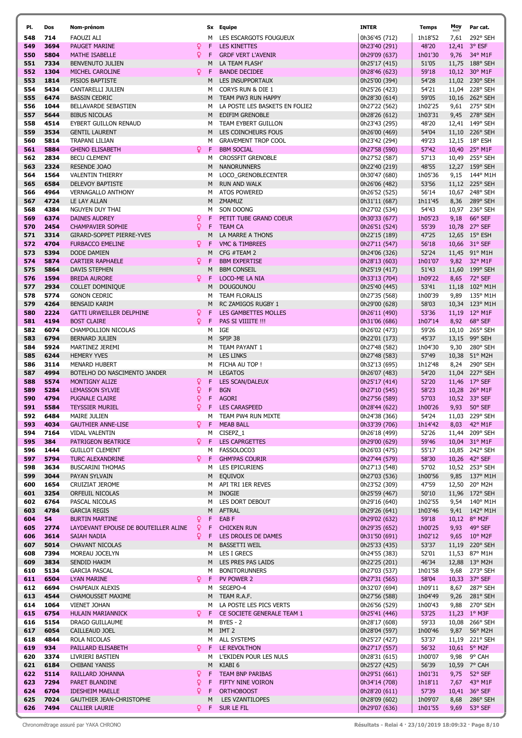| PI. | Dos  | Nom-prénom                           |          |    | Sx Equipe                             | <b>INTER</b>  | Temps   | Moy   | Par cat.              |
|-----|------|--------------------------------------|----------|----|---------------------------------------|---------------|---------|-------|-----------------------|
| 548 | 714  | <b>FAOUZI ALI</b>                    |          | м  | LES ESCARGOTS FOUGUEUX                | 0h36'45 (712) | 1h18'52 | 7,61  | 292° SEH              |
| 549 | 3694 |                                      | Q        | F  | <b>LES KINETTES</b>                   |               |         |       | 3° ESF                |
|     |      | PAUGET MARINE                        |          |    |                                       | 0h23'40 (291) | 48'20   | 12,41 |                       |
| 550 | 5804 | <b>MATHE ISABELLE</b>                | Q        | F  | <b>GRDF VERT L'AVENIR</b>             | 0h29'09 (637) | 1h01'30 | 9,76  | 34° M1F               |
| 551 | 7334 | BENVENUTO JULIEN                     |          | М  | LA TEAM FLASH'                        | 0h25'17 (415) | 51'05   |       | 11,75 188° SEH        |
| 552 | 1304 | MICHEL CAROLINE                      | Q        | F  | <b>BANDE DECIDEE</b>                  | 0h28'46 (623) | 59'18   |       | 10,12 30° M1F         |
| 553 | 1814 | PISIOS BAPTISTE                      |          | М  | LES INSUPPORTAUX                      | 0h25'00 (394) | 54'28   |       | 11,02 230° SEH        |
| 554 | 5434 | CANTARELLI JULIEN                    |          | м  | CORYS RUN & DIE 1                     | 0h25'26 (423) | 54'21   |       | 11,04 228° SEH        |
| 555 | 6474 | <b>BASSIN CEDRIC</b>                 |          | м  | TEAM PW3 RUN HAPPY                    | 0h28'30 (614) | 59'05   |       | 10,16 262° SEH        |
| 556 | 1044 |                                      |          | м  |                                       |               |         |       | 9,61 275° SEH         |
|     |      | BELLAVARDE SEBASTIEN                 |          |    | LA POSTE LES BASKETS EN FOLIE2        | 0h27'22 (562) | 1h02'25 |       |                       |
| 557 | 5644 | <b>BIBUS NICOLAS</b>                 |          | M  | EDIFIM GRENOBLE                       | 0h28'26 (612) | 1h03'31 |       | 9,45 278° SEH         |
| 558 | 4514 | <b>EYBERT GUILLON RENAUD</b>         |          | м  | TEAM EYBERT GUILLON                   | 0h23'43 (295) | 48'20   |       | 12,41 149° SEH        |
| 559 | 3534 | <b>GENTIL LAURENT</b>                |          | м  | LES COINCHEURS FOUS                   | 0h26'00 (469) | 54'04   |       | 11,10 226° SEH        |
| 560 | 5814 | TRAPANI LILIAN                       |          | м  | <b>GRAVEMENT TROP COOL</b>            | 0h23'42 (294) | 49'23   |       | 12,15 18° ESH         |
| 561 | 5884 | <b>GHENO ELISABETH</b>               | Q.       | F  | <b>BBM SOCIAL</b>                     | 0h27'58 (590) | 57'42   |       | 10,40 25° M1F         |
| 562 | 2834 | <b>BECU CLEMENT</b>                  |          | м  | <b>CROSSFIT GRENOBLE</b>              | 0h27'52 (587) | 57'13   |       | 10,49 255° SEH        |
|     |      |                                      |          |    |                                       |               |         |       |                       |
| 563 | 2324 | RESENDE JOAO                         |          | М  | <b>NANORUNNERS</b>                    | 0h22'40 (219) | 48'55   |       | 12,27 159° SEH        |
| 564 | 1564 | <b>VALENTIN THIERRY</b>              |          | м  | LOCO_GRENOBLECENTER                   | 0h30'47 (680) | 1h05'36 |       | 9,15 144° M1H         |
| 565 | 6584 | <b>DELEVOY BAPTISTE</b>              |          | M  | <b>RUN AND WALK</b>                   | 0h26'06 (482) | 53'56   |       | 11,12 225° SEH        |
| 566 | 4964 | VERNAGALLO ANTHONY                   |          | м  | <b>ATOS POWERED</b>                   | 0h26'52 (525) | 56'14   |       | 10,67 248° SEH        |
| 567 | 4724 | LE LAY ALLAN                         |          | M  | ZMAMUZ                                | 0h31'11 (687) | 1h11'45 |       | 8,36 289° SEH         |
| 568 | 4384 | NGUYEN DUY THAI                      |          | м  | SON DOONG                             | 0h27'02 (534) | 54'43   |       | 10,97 236° SEH        |
|     |      |                                      |          |    |                                       |               |         |       |                       |
| 569 | 6374 | <b>DAINES AUDREY</b>                 | Q        | F  | PETIT TUBE GRAND COEUR                | 0h30'33 (677) | 1h05'23 | 9,18  | 66° SEF               |
| 570 | 2454 | <b>CHAMPAVIER SOPHIE</b>             | Q        | F. | <b>TEAM CA</b>                        | 0h26'51 (524) | 55'39   |       | 10,78 27° SEF         |
| 571 | 3314 | GIRARD-SOPPET PIERRE-YVES            |          | М  | LA MARRE A THONS                      | 0h22'15 (189) | 47'25   |       | 12,65 15° ESH         |
| 572 | 4704 | <b>FURBACCO EMELINE</b>              | Q.       | F  | VMC & TIMBREES                        | 0h27'11 (547) | 56'18   |       | 10,66 31° SEF         |
| 573 | 5394 | <b>DODE DAMIEN</b>                   |          | М  | CFG #TEAM 2                           | 0h24'06 (326) | 52'24   |       | 11,45 91° M1H         |
| 574 | 5874 | <b>CARTIER RAPHAELE</b>              | Q        | F  | <b>BBM EXPERTISE</b>                  | 0h28'13 (603) | 1h01'07 |       | 9,82 32° M1F          |
|     |      |                                      |          |    |                                       |               |         |       |                       |
| 575 | 5864 | DAVIS STEPHEN                        |          | М  | <b>BBM CONSEIL</b>                    | 0h25'19 (417) | 51'43   |       | 11,60 199° SEH        |
| 576 | 1594 | <b>BREDA AURORE</b>                  | Q        | F  | LOCO-ME LA NIA                        | 0h33'13 (704) | 1h09'22 |       | 8,65 72° SEF          |
| 577 | 2934 | <b>COLLET DOMINIQUE</b>              |          | M  | <b>DOUGOUNOU</b>                      | 0h25'40 (445) | 53'41   |       | 11,18 102° M1H        |
| 578 | 5774 | <b>GONON CEDRIC</b>                  |          | м  | TEAM FLORALIS                         | 0h27'35 (568) | 1h00'39 |       | 9,89 135° M1H         |
| 579 | 4264 | <b>BENSAID KARIM</b>                 |          | M  | <b>RC ZAMIGOS RUGBY 1</b>             | 0h29'00 (628) | 58'03   |       | 10,34 123° M1H        |
| 580 | 2224 | GATTI URWEILLER DELPHINE             | ò        | F  | LES GAMBETTES MOLLES                  | 0h26'11 (490) | 53'36   |       | 11,19 12° M1F         |
|     |      |                                      |          |    |                                       |               |         |       |                       |
| 581 | 4194 | <b>BOST CLAIRE</b>                   | Q.       | F  | PAS SI VIIIITE !!!                    | 0h31'06 (686) | 1h07'14 |       | 8,92 68° SEF          |
| 582 | 6074 | CHAMPOLLION NICOLAS                  |          | м  | IGE                                   | 0h26'02 (473) | 59'26   |       | 10,10 265° SEH        |
| 583 | 6794 | <b>BERNARD JULIEN</b>                |          | М  | SPIP 38                               | 0h22'01 (173) | 45'37   |       | 13,15 99° SEH         |
| 584 | 5924 | MARTINEZ JEREMI                      |          | м  | TEAM PAYANT 1                         | 0h27'48 (582) | 1h04'30 | 9,30  | 280° SEH              |
| 585 | 6244 | <b>HEMERY YVES</b>                   |          | м  | <b>LES LINKS</b>                      | 0h27'48 (583) | 57'49   |       | 10,38 51° M2H         |
| 586 | 3114 | <b>MENARD HUBERT</b>                 |          | м  | FICHA AU TOP !                        | 0h32'13 (695) | 1h12'48 | 8,24  | 290° SEH              |
|     |      |                                      |          |    |                                       |               |         |       |                       |
| 587 | 4994 | BOTELHO DO NASCIMENTO JANDER         |          | M  | <b>LEGATOS</b>                        | 0h26'07 (483) | 54'20   |       | 11,04 227° SEH        |
| 588 | 5574 | MONTIGNY ALIZE                       | Q        | F  | <b>LES SCAN/DALEUX</b>                | 0h25'17 (414) | 52'20   |       | 11,46 17° SEF         |
| 589 | 5284 | <b>LEMASSON SYLVIE</b>               | Q        | F  | <b>BGN</b>                            | 0h27'10 (545) | 58'23   |       | 10,28 26° M1F         |
| 590 | 4794 | <b>PUGNALE CLAIRE</b>                | Q        | F  | <b>AGORI</b>                          | 0h27'56 (589) | 57'03   |       | 10,52 33° SEF         |
| 591 | 5584 | <b>TEYSSIER MURIEL</b>               | Q        | F  | <b>LES CARASPEED</b>                  | 0h28'44 (622) | 1h00'26 |       | 9,93 50° SEF          |
| 592 | 6484 | <b>MAIRE JULIEN</b>                  |          | м  | TEAM PW4 RUN MIXTE                    | 0h24'38 (366) | 54'24   |       | 11,03 229° SEH        |
|     |      |                                      |          |    |                                       | 0h33'39 (706) |         |       |                       |
| 593 | 4034 | <b>GAUTHIER ANNE-LISE</b>            |          |    | <b>Q</b> F MEAB BALL                  |               | 1h14'42 |       | 8,03 42° M1F          |
| 594 | 7164 | VIDAL VALENTIN                       |          |    | M CISEPZ_1                            | 0h26'18 (499) | 52'26   |       | 11,44 209° SEH        |
| 595 | 384  | PATRIGEON BEATRICE                   | Q.       | F  | <b>LES CAPRGETTES</b>                 | 0h29'00 (629) | 59'46   |       | 10,04 31° M1F         |
| 596 | 1444 | <b>GUILLOT CLEMENT</b>               |          |    | M FASSOLOCO3                          | 0h26'03 (475) | 55'17   |       | 10,85 242° SEH        |
| 597 | 5794 | TURC ALEXANDRINE                     | Ω F      |    | <b>GHM'PAS COURIR</b>                 | 0h27'44 (579) | 58'30   |       | 10,26 42° SEF         |
| 598 | 3634 | <b>BUSCARINI THOMAS</b>              |          |    | M LES EPICURIENS                      | 0h27'13 (548) | 57'02   |       | 10,52 253° SEH        |
| 599 | 3044 | PAYAN SYLVAIN                        |          | M  | <b>EQUIVOX</b>                        | 0h27'03 (536) | 1h00'56 |       | 9,85 137° M1H         |
|     |      |                                      |          |    | API TRI 1ER REVES                     | 0h23'52 (309) | 47'59   |       |                       |
| 600 | 1654 | CRUIZIAT JEROME                      |          | м  |                                       |               |         |       | 12,50 20° M2H         |
| 601 | 3254 | ORFEUIL NICOLAS                      |          |    | M INOGIE                              | 0h25'59 (467) | 50'10   |       | 11,96 172° SEH        |
| 602 | 6764 | PASCAL NICOLAS                       |          |    | M LES DORT DEBOUT                     | 0h29'16 (640) | 1h02'55 |       | 9,54 140° M1H         |
| 603 | 4784 | <b>GARCIA REGIS</b>                  |          |    | M AFTRAL                              | 0h29'26 (641) | 1h03'46 |       | 9,41 142° M1H         |
| 604 | 54   | <b>BURTIN MARTINE</b>                | Q        |    | F EAB F                               | 0h29'02 (632) | 59'18   |       | 10,12 8° M2F          |
| 605 | 2774 | LAYDEVANT EPOUSE DE BOUTEILLER ALINE | <u>Q</u> |    | F CHICKEN RUN                         | 0h29'35 (652) | 1h00'25 |       | 9,93 49° SEF          |
| 606 | 3614 | SAIAH NADIA                          | Q        | F. | LES DROLES DE DAMES                   | 0h31'50 (691) | 1h02'12 |       | 9,65 $10^{\circ}$ M2F |
|     | 5014 |                                      |          |    |                                       |               | 53'37   |       |                       |
| 607 |      | <b>CHAVANT NICOLAS</b>               |          |    | M BASSETTI WEIL                       | 0h25'33 (435) |         |       | 11,19 220° SEH        |
| 608 | 7394 | MOREAU JOCELYN                       |          |    | M LES I GRECS                         | 0h24'55 (383) | 52'01   |       | 11,53 87° M1H         |
| 609 | 3834 | SENDID HAKIM                         |          |    | M LES PRES PAS LAIDS                  | 0h22'25 (201) | 46'34   |       | 12,88 13° M2H         |
| 610 | 5134 | <b>GARCIA PASCAL</b>                 |          | м  | <b>BONITORUNNERS</b>                  | 0h27'03 (537) | 1h01'58 |       | 9,68 273° SEH         |
| 611 | 6504 | <b>LYAN MARINE</b>                   | Q F      |    | PV POWER 2                            | 0h27'31 (565) | 58'04   |       | 10,33 37° SEF         |
| 612 | 6694 | CHAPEAUX ALEXIS                      |          |    | M SEGEPO-4                            | 0h32'07 (694) | 1h09'11 |       | 8,67 287° SEH         |
| 613 | 4544 | CHAMOUSSET MAXIME                    |          | M  | TEAM R.A.F.                           | 0h27'56 (588) | 1h04'49 |       | 9,26 281° SEH         |
|     |      |                                      |          |    |                                       |               |         |       |                       |
| 614 | 1064 | <b>VIENET JOHAN</b>                  |          |    | M LA POSTE LES PICS VERTS             | 0h26'56 (529) | 1h00'43 |       | 9,88 270° SEH         |
| 615 | 6754 | HULAIN MARIANNICK                    |          |    | <b>Q</b> F CE SOCIETE GENERALE TEAM 1 | 0h25'41 (446) | 53'25   |       | 11,23 1° M3F          |
| 616 | 5154 | DRAGO GUILLAUME                      |          |    | M BYES-2                              | 0h28'17 (608) | 59'33   |       | 10,08 266° SEH        |
| 617 | 6054 | CAILLEAUD JOEL                       |          |    | M IMT 2                               | 0h28'04 (597) | 1h00'46 | 9,87  | 56° M2H               |
| 618 | 4844 | ROLA NICOLAS                         |          |    | M ALL SYSTEMS                         | 0h25'27 (427) | 53'37   |       | 11,19 221° SEH        |
| 619 | 934  | PAILLARD ELISABETH                   | $Q$ F    |    | LE REVOLTHON                          | 0h27'17 (557) | 56'32   |       | 10,61 5° M2F          |
|     |      |                                      |          |    |                                       |               |         |       |                       |
| 620 | 3374 | LIVRIERI BASTIEN                     |          |    | M L'EKIDEN POUR LES NULS              | 0h28'31 (615) | 1h00'07 |       | 9,98 9° CAH           |
| 621 | 6184 | CHIBANI YANISS                       |          | М  | KIABI 6                               | 0h25'27 (425) | 56'39   |       | 10,59 7° CAH          |
| 622 | 5114 | RAILLARD JOHANNA                     | Q.       | F  | TEAM BNP PARIBAS                      | 0h29'51 (661) | 1h01'31 |       | 9,75 52° SEF          |
| 623 | 7294 | PARET BLANDINE                       | Q        | F  | FIFTY NINE VOIRON                     | 0h34'14 (708) | 1h18'11 |       | 7,67 43° M1F          |
| 624 | 6704 | <b>IDESHEIM MAELLE</b>               | Q.       | F  | <b>ORTHOBOOST</b>                     | 0h28'20 (611) | 57'39   |       | 10,41 36° SEF         |
| 625 | 7024 | GAUTHIER JEAN-CHRISTOPHE             |          | М  | LES VZANTILOPES                       | 0h28'09 (602) | 1h09'07 |       | 8,68 286° SEH         |
|     |      |                                      |          |    |                                       |               |         |       |                       |
| 626 | 7494 | CALLIER LAURIE                       |          |    | $P$ F SUR LE FIL                      | 0h29'07 (636) | 1h01'55 |       | 9,69 53° SEF          |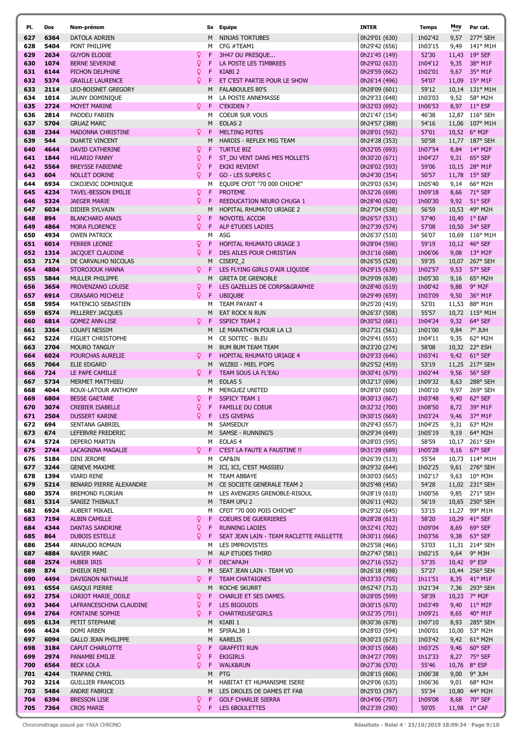| PI.        | Dos          | Nom-prénom                                |       |    | Sx Equipe                                      | <b>INTER</b>                   | <b>Temps</b>     | $M_0$       |
|------------|--------------|-------------------------------------------|-------|----|------------------------------------------------|--------------------------------|------------------|-------------|
| 627        | 6364         | DATOLA ADRIEN                             |       | M  | NINJAS TORTUBES                                | 0h29'01 (630)                  | 1h02'42          | 9,5         |
| 628        | 5404         | PONT PHILIPPE                             |       | м  | CFG #TEAM1                                     | 0h29'42 (656)                  | 1h03'15          | 9,4         |
| 629        | 2634         | <b>GUYON ELODIE</b>                       | Q.    | F  | 3H47 OU PRESQUE                                | 0h21'45 (149)                  | 52'30            | 11,4        |
| 630        | 1074         | <b>BERNE SEVERINE</b>                     | Q     | F  | LA POSTE LES TIMBREES                          | 0h29'02 (633)                  | 1h04'12          | 9,3         |
| 631        | 6144         | PICHON DELPHINE                           | ò     | F  | KIABI <sub>2</sub>                             | 0h29'59 (662)                  | 1h02'01          | 9,6         |
| 632        | 5374         | <b>GRAILLE LAURENCE</b>                   | Q     | F  | ET C'EST PARTIE POUR LE SHOW                   | 0h26'14 (496)                  | 54'07            | 11,0        |
| 633        | 2114         | LEO-BOISNET GREGORY                       |       | M  | <b>FALABOULES 80'S</b>                         | 0h28'09 (601)                  | 59'12            | 10,1        |
| 634        | 1014         | JAUNY DOMINIQUE                           |       | м  | LA POSTE ANNEMASSE                             | 0h29'33 (648)                  | 1h03'03          | 9,5         |
| 635        | 2724         | MOYET MARINE                              | $Q$ F |    | <b>C'EKIDEN ?</b>                              | 0h32'03 (692)                  | 1h06'53          | 8,9         |
| 636        | 2814         | PADDEU FABIEN                             |       | м  | <b>COEUR SUR VOUS</b>                          | 0h21'47 (154)                  | 46'38            | 12,8        |
| 637        | 5704         | <b>GRUAZ MARC</b>                         |       | M  | EOLAS <sub>2</sub>                             | 0h24'57 (388)                  | 54'16            | 11,0        |
| 638        | 2344         | <b>MADONNA CHRISTINE</b>                  | Q.    | -F | <b>MELTING POTES</b>                           |                                | 57'01            |             |
|            |              |                                           |       | M  |                                                | 0h28'01 (592)                  |                  | 10,5        |
| 639        | 544          | <b>DUARTE VINCENT</b>                     |       |    | HARDIS - REFLEX MIG TEAM                       | 0h24'28 (353)                  | 50'58            | 11,7        |
| 640        | 4644         | DAVID CATHERINE                           | ¥     | F  | <b>TURTLE BIZ</b>                              | 0h32'05 (693)                  | 1h07'54          | 8,8         |
| 641        | 1844         | <b>HILARIO FANNY</b>                      | ò     | F  | ST_DU VENT DANS MES MOLLETS                    | 0h30'20 (671)                  | 1h04'27          | 9,3         |
| 642        | 5564         | <b>BREYSSE FABIENNE</b>                   | Q     | F  | EKIKI REVIENT                                  | 0h28'02 (593)                  | 59'06            | 10,1        |
| 643        | 604          | NOLLET DORINE                             | Q.    | F  | <b>GO - LES SUPERS C</b>                       | 0h24'30 (354)                  | 50'57            | 11,7        |
| 644        | 6934         | CIKOJEVIC DOMINIQUE                       |       | м  | EQUIPE CFDT "70 000 CHICHE"                    | 0h29'03 (634)                  | 1h05'40          | 9,1         |
| 645        | 4234         | <b>TAVEL-BESSON EMILIE</b>                | Q.    | F  | <b>PROTEME</b>                                 | 0h32'26 (698)                  | 1h09'18          | 8,6         |
| 646        | 5324         | <b>JAEGER MARIE</b>                       | Q     | F  | REEDUCATION NEURO CHUGA 1                      | 0h28'40 (620)                  | 1h00'30          | 9,9         |
| 647        | 6034         | <b>DIDIER SYLVAIN</b>                     |       | M  | HOPITAL RHUMATO URIAGE 2                       | 0h27'04 (538)                  | 56'59            | 10,5        |
| 648        | 894          | <b>BLANCHARD ANAIS</b>                    | Q     | F  | NOVOTEL ACCOR                                  | 0h26'57 (531)                  | 57'40            | 10,4        |
| 649        | 4864         | MORA FLORENCE                             | Q.    | F  | ALP ETUDES LADIES                              | 0h27'39 (574)                  | 57'08            | 10,5        |
| 650        | 4934         | <b>OWEN PATRICK</b>                       |       | м  | ASG                                            | 0h26'37 (510)                  | 56'07            | 10,6        |
| 651        | 6014         | <b>FERRER LEONIE</b>                      | Q.    | F  | HOPITAL RHUMATO URIAGE 3                       | 0h28'04 (596)                  | 59'19            | 10,1        |
| 652        | 1314         | <b>JACQUET CLAUDINE</b>                   | Q     | F  | DES AILES POUR CHRISTIAN                       | 0h31'16 (688)                  | 1h06'06          | 9,0         |
| 653        | 7174         | DE CARVALHO NICOLAS                       |       | M  | CISEPZ_2                                       | 0h26'55 (528)                  | 59'35            | 10,0        |
| 654        | 4804         | STOROJOUK HANNA                           | Q.    | F  | LES FLYING GIRLS D'AIR LIQUIDE                 | 0h29'15 (639)                  | 1h02'57          | 9,5         |
| 655        | 5844         | MULLER PHILIPPE                           |       | M  | <b>GRETA DE GRENOBLE</b>                       | 0h29'09 (638)                  | 1h05'30          | 9,1         |
| 656        | 3654         | PROVENZANO LOUISE                         | Q.    | F  | LES GAZELLES DE CORPS&GRAPHIE                  | 0h28'40 (619)                  | 1h00'42          | 9,8         |
| 657        | 6914         | <b>CIRASARO MICHELE</b>                   | Q.    | F  | <b>UBIQUBE</b>                                 | 0h29'49 (659)                  | 1h03'09          | 9,5         |
| 658        | 5954         | MATENCIO SEBASTIEN                        |       | M  | TEAM PAYANT 4                                  | 0h25'20 (419)                  | 52'01            | 11,5        |
| 659        | 6574         | PELLEREY JACQUES                          |       | M  | EAT ROCK N RUN                                 | 0h26'37 (508)                  | 55'57            | 10,7        |
| 660        | 6814         | <b>GOMEZ ANN-LISE</b>                     | Q.    | -F | <b>SSPICY TEAM 2</b>                           | 0h30'52 (681)                  | 1h04'24          | 9,3         |
| 661        | 3364         | LOUAFI NESSIM                             |       | M  | LE MARATHON POUR LA L3                         | 0h27'21 (561)                  | 1h01'00          | 9,8         |
| 662        | 5224         | <b>FIGUET CHRISTOPHE</b>                  |       | м  | CE SOITEC - BLEU                               | 0h29'41 (655)                  | 1h04'11          | 9,3         |
| 663        | 2704         | <b>MOURO TANGUY</b>                       |       | M  | <b>BUM BUM TEAM TEAM</b>                       | 0h23'20 (274)                  | 58'08            | 10,3        |
| 664        | 6024         | POURCHAS AURELIE                          | Q.    | F  | HOPITAL RHUMATO URIAGE 4                       | 0h29'33 (646)                  | 1h03'41          | 9,4         |
| 665        | 7064         | ELIE EDGARD                               |       | М  | WIZBII - MIEL P'OPS                            | 0h25'52 (459)                  | 53'19            | 11,2        |
| 666        | 724          | LE PAPE CAMILLE                           | Q.    | F  | TEAM SOUS LA FL'EAU                            | 0h30'41 (679)                  | 1h02'44          | 9,5         |
| 667        | 5734         | <b>MERMET MATTHIEU</b>                    |       | M  | EOLAS <sub>5</sub>                             | 0h32'17 (696)                  | 1h09'32          | 8,6         |
| 668        | 4044         | ROUX-LATOUR ANTHONY                       |       | м  | <b>MERGUEZ UNITED</b>                          | 0h28'07 (600)                  | 1h00'10          | 9,9         |
| 669        | 6804         | <b>BESSE GAETANE</b>                      | Q.    | F  | <b>SSPICY TEAM 1</b>                           | 0h30'13 (667)                  | 1h03'48          | 9,4         |
| 670        | 3074         | <b>CREBIER ISABELLE</b>                   | Q     | F  | <b>FAMILLE DU COEUR</b>                        | 0h32'32 (700)                  | 1h08'50          | 8,7         |
| 671        | 2504         | <b>DUSSERT KARINE</b>                     | Q.    | F  | <b>LES GIVEPAS</b>                             | 0h30'15 (669)                  | 1h03'24          | 9,4         |
|            | 672 694      | SENTANA GABRIEL                           |       |    | M SAMSEDUY                                     | 0h29'43 (657)                  | 1h04'25          | 9,3         |
| 673        | 674          | LEFEBVRE FREDERIC                         |       |    | M SAMSE - RUNNING'S                            | 0h29'34 (649)                  | 1h05'19          | 9,1         |
| 674        | 5724         | DEPERO MARTIN                             |       |    | M EOLAS 4                                      | 0h28'03 (595)                  | 58'59            | 10,1        |
| 675        | 2744         | LACAGNINA MAGALIE                         |       |    | P F C'EST LA FAUTE A FAUSTINE !!               | 0h31'29 (689)                  | 1h05'28          | 9,1         |
| 676        | 5184         | DINI JEROME                               |       |    | M CAF&IN                                       | 0h26'39 (513)                  | 55'54            | 10,7        |
| 677        | 3244         |                                           |       |    | M ICI, ICI, C'EST MASSIEU                      | 0h29'32 (644)                  | 1h02'25          |             |
|            | 1394         | <b>GENEVE MAXIME</b><br><b>VIARD RENE</b> |       | M  | <b>TEAM ABBAYE</b>                             |                                | 1h02'17          | 9,6         |
| 678        |              |                                           |       |    |                                                | 0h30'03 (665)<br>0h25'48 (456) | 54'28            | 9,6         |
| 679<br>680 | 5214<br>3574 | BENARD PIERRE ALEXANDRE                   |       |    | M CE SOCIETE GENERALE TEAM 2                   |                                |                  | 11,0        |
| 681        | 5314         | <b>BREMOND FLORIAN</b>                    |       |    | M LES AVENGERS GRENOBLE-RISOUL<br>M TEAM UPU 2 | 0h28'19 (610)                  | 1h00'56<br>56'19 | 9,8<br>10,6 |
|            |              | SANIEZ THIBAULT                           |       |    |                                                | 0h26'11 (492)                  |                  |             |
| 682        | 6924         | AUBERT MIKAEL                             |       | м  | CFDT "70 000 POIS CHICHE"                      | 0h29'32 (645)                  | 53'15            | 11,2        |
| 683        | 7194<br>4344 | <b>ALBIN CAMILLE</b>                      | Q.    |    | F COEURS DE GUERRIERES                         | 0h28'28 (613)                  | 58'20            | 10,2        |
| 684        |              | DANTAS SANDRINE                           | Q.    |    | F RUNNING LADIES                               | 0h32'41 (702)                  | 1h09'04          | 8,6         |
| 685        | 864          | <b>DUBOIS ESTELLE</b>                     | Q.    | F. | SEAT JEAN LAIN - TEAM RACLETTE PAILLETTE       | 0h30'11 (666)                  | 1h03'56          | 9,3         |
| 686        | 2544         | ARNAUDO ROMAIN                            |       |    | M LES IMPROVISTES                              | 0h25'58 (466)                  | 53'03            | 11,3        |
| 687        | 4884         | <b>RAVIER MARC</b>                        |       |    | M ALP ETUDES THIRD                             | 0h27'47 (581)                  | 1h02'15          | 9,6         |
| 688        | 2574         | HUBER IRIS                                | QF.   |    | <b>DEC'APAJH</b>                               | 0h27'16 (552)                  | 57'35            | 10,4        |
| 689        | 874          | DHIEUX REMI                               |       |    | M SEAT JEAN LAIN - TEAM VO                     | 0h26'18 (498)                  | 57'27            | 10,4        |
| 690        | 4494         | DAVIGNON NATHALIE                         | Q.    | F. | <b>TEAM CHATAIGNES</b>                         | 0h33'33 (705)                  | 1h11'51          | 8,3         |
| 691        | 6554         | <b>GASQUI PIERRE</b>                      |       | м  | ROCHE SKURRT                                   | 0h52'47 (713)                  | 1h21'34          | 7,3         |
| 692        | 2754         | LORIOT MARIE_ODILE                        | Q.    |    | F CHARLIE ET SES DAMES.                        | 0h28'05 (599)                  | 58'39            | 10,2        |
| 693        | 3464         | LAFRANCESCHINA CLAUDINE                   | Q.    | F. | LES BIGOUDIS                                   | 0h30'15 (670)                  | 1h03'49          | 9,4         |
| 694        | 2764         | <b>FONTAINE SOPHIE</b>                    | Q.    |    | F CHARTREUSE'GIRLS                             | 0h32'35 (701)                  | 1h09'21          | 8,6         |
| 695        | 6134         | PETIT STEPHANE                            |       | M  | KIABI 1                                        | 0h30'36 (678)                  | 1h07'10          | 8,9         |
| 696        | 4424         | DOMI ARBEN                                |       | м  | SPIRAL38 1                                     | 0h28'03 (594)                  | 1h00'01          | 10,0        |
| 697        | 6094         | <b>GALLO JEAN PHILIPPE</b>                |       | м  | <b>KARELIS</b>                                 | 0h30'23 (673)                  | 1h03'42          | 9,4         |
| 698        | 3184         | CAPUT CHARLOTTE                           | Q.    | F. | <b>GRAFFITI RUN</b>                            | 0h30'15 (668)                  | 1h03'25          | 9,4         |
| 699        | 2974         | PANAMBI EMILIE                            | ò     | F. | <b>EKIGIRLS</b>                                | 0h34'27 (709)                  | 1h12'33          | 8,2         |
| 700        | 6564         | <b>BECK LOLA</b>                          | Q.    | F  | <b>WALK&amp;RUN</b>                            | 0h27'36 (570)                  | 55'46            | 10,7        |
| 701        | 4244         | TRAPANI CYRIL                             |       | M  | PTG                                            | 0h28'15 (606)                  | 1h06'38          | 9,0         |
| 702        | 3214         | <b>GUILLIER FRANCOIS</b>                  |       | м  | HABITAT ET HUMANISME ISERE                     | 0h29'06 (635)                  | 1h06'36          | 9,0         |
| 703        | 5484         | ANDRE FABRICE                             |       | M  | LES DROLES DE DAMES ET FAB                     | 0h25'03 (397)                  | 55'34            | 10,8        |
| 704        | 6394         | <b>BRESSON LISE</b>                       | Q.    | F  | <b>GOLF CHARLIE SIERRA</b>                     | 0h34'06 (707)                  | 1h09'08          | 8,6         |
| 705        | 7364         | <b>CROS MARIE</b>                         | Q.    |    | F LES 6BOULETTES                               | 0h23'39 (290)                  | 50'05            | 11,9        |
|            |              |                                           |       |    |                                                |                                |                  |             |

ſ

| 627        | 6364         | DATOLA ADRIEN                                  |              | M           | NINJAS TORTUBES                                          | 0h29'01 (630)                  | 1h02'42          |              | 9,57 277° SEH                 |
|------------|--------------|------------------------------------------------|--------------|-------------|----------------------------------------------------------|--------------------------------|------------------|--------------|-------------------------------|
| 628        | 5404         | PONT PHILIPPE                                  |              |             | M CFG #TEAM1                                             | 0h29'42 (656)                  | 1h03'15          | 9,49         | 141° M1H                      |
| 629        | 2634         | <b>GUYON ELODIE</b>                            | $\mathsf{Q}$ | F           | 3H47 OU PRESQUE                                          | 0h21'45 (149)                  | 52'30            |              | 11,43 19° SEF                 |
| 630        | 1074         | <b>BERNE SEVERINE</b>                          | Q            | F           | LA POSTE LES TIMBREES                                    | 0h29'02 (633)                  | 1h04'12          |              | 9,35 38° M1F                  |
| 631        | 6144         | PICHON DELPHINE                                | Q.           | F           | KIABI <sub>2</sub>                                       | 0h29'59 (662)                  | 1h02'01          |              | 9,67 35° M1F                  |
| 632        | 5374         | <b>GRAILLE LAURENCE</b>                        | Q            | F           | ET C'EST PARTIE POUR LE SHOW                             | 0h26'14 (496)                  | 54'07            |              | 11,09 15° M1F                 |
| 633        | 2114         | LEO-BOISNET GREGORY                            |              | M           | <b>FALABOULES 80'S</b>                                   | 0h28'09 (601)                  | 59'12            |              | 10,14 131° M1H                |
| 634        | 1014         | JAUNY DOMINIQUE                                |              | м           | LA POSTE ANNEMASSE                                       | 0h29'33 (648)                  | 1h03'03          |              | 9,52 58° M2H                  |
| 635        | 2724         | <b>MOYET MARINE</b>                            | Q F          |             | <b>C'EKIDEN ?</b>                                        | 0h32'03 (692)                  | 1h06'53          |              | 8,97 11° ESF                  |
| 636        | 2814         | PADDEU FABIEN                                  |              | м           | <b>COEUR SUR VOUS</b>                                    | 0h21'47 (154)                  | 46'38            |              | 12,87 116° SEH                |
| 637        | 5704         | <b>GRUAZ MARC</b>                              |              | М           | EOLAS <sub>2</sub>                                       | 0h24'57 (388)                  | 54'16            |              | 11,06 107° M1H                |
| 638        | 2344         | MADONNA CHRISTINE                              | Q.           | F           | <b>MELTING POTES</b>                                     | 0h28'01 (592)                  | 57'01            |              | 10,52 6° M2F                  |
| 639        | 544          | <b>DUARTE VINCENT</b>                          |              | M           | HARDIS - REFLEX MIG TEAM                                 | 0h24'28 (353)                  | 50'58            |              | 11,77 187° SEH                |
| 640        | 4644         | DAVID CATHERINE                                | ¥            | $\mathsf F$ | <b>TURTLE BIZ</b>                                        | 0h32'05 (693)                  | 1h07'54          |              | 8,84 14° M2F                  |
| 641        | 1844         | <b>HILARIO FANNY</b>                           | ò            | F           | ST_DU VENT DANS MES MOLLETS                              | 0h30'20 (671)                  | 1h04'27          |              | 9,31 65° SEF                  |
| 642        | 5564         | <b>BREYSSE FABIENNE</b>                        | Q.           | F           | <b>EKIKI REVIENT</b>                                     | 0h28'02 (593)                  | 59'06            |              | 10,15 28° M1F                 |
| 643        | 604          | <b>NOLLET DORINE</b>                           | Q.           | F           | <b>GO - LES SUPERS C</b>                                 | 0h24'30 (354)                  | 50'57            |              | 11,78 15° SEF                 |
| 644        | 6934         | CIKOJEVIC DOMINIQUE                            |              | М           | EQUIPE CFDT "70 000 CHICHE"                              | 0h29'03 (634)                  | 1h05'40          |              | 9,14 66° M2H                  |
| 645        | 4234         | <b>TAVEL-BESSON EMILIE</b>                     | Q.           | $\mathsf F$ | <b>PROTEME</b>                                           | 0h32'26 (698)                  | 1h09'18          |              | 8,66 71° SEF                  |
| 646        | 5324         | JAEGER MARIE                                   | Q.           | F           | REEDUCATION NEURO CHUGA 1                                | 0h28'40 (620)                  | 1h00'30          |              | 9,92 51° SEF                  |
| 647        | 6034         | DIDIER SYLVAIN                                 |              | м           | <b>HOPITAL RHUMATO URIAGE 2</b>                          | 0h27'04 (538)                  | 56'59            |              | 10,53 49° M2H                 |
| 648        | 894          | <b>BLANCHARD ANAIS</b>                         | Q            | F           | NOVOTEL ACCOR                                            | 0h26'57 (531)                  | 57'40            |              | 10,40 1° EAF                  |
| 649        | 4864         | MORA FLORENCE                                  | Q.           | F           | ALP ETUDES LADIES                                        | 0h27'39 (574)                  | 57'08            |              | 10,50 34° SEF                 |
| 650        | 4934         | <b>OWEN PATRICK</b>                            |              |             | M ASG                                                    | 0h26'37 (510)                  | 56'07            |              | 10,69 116° M1H                |
| 651        | 6014         | <b>FERRER LEONIE</b>                           | Q.           | -F          | HOPITAL RHUMATO URIAGE 3                                 | 0h28'04 (596)                  | 59'19            |              | 10,12 46° SEF                 |
| 652        | 1314         | <b>JACQUET CLAUDINE</b>                        | Q.           | F           | DES AILES POUR CHRISTIAN                                 | 0h31'16 (688)                  | 1h06'06          |              | 9,08 13° M2F                  |
| 653        | 7174         | DE CARVALHO NICOLAS                            |              | м           | CISEPZ_2                                                 | 0h26'55 (528)                  | 59'35            |              | 10,07 267° SEH                |
| 654        | 4804         | STOROJOUK HANNA                                | Q.           | -F          | LES FLYING GIRLS D'AIR LIQUIDE                           | 0h29'15 (639)                  | 1h02'57          | 9,53         | 57° SEF                       |
| 655        | 5844         | MULLER PHILIPPE                                |              | M           | <b>GRETA DE GRENOBLE</b>                                 | 0h29'09 (638)                  | 1h05'30          | 9,16         | 65° M2H                       |
| 656        | 3654         | PROVENZANO LOUISE                              | Q.           | F           | LES GAZELLES DE CORPS&GRAPHIE                            | 0h28'40 (619)                  | 1h00'42          | 9,88         | 9° M2F                        |
| 657        | 6914         | <b>CIRASARO MICHELE</b>                        | Q.           |             | F UBIQUBE                                                | 0h29'49 (659)                  | 1h03'09          | 9,50         | 36° M1F                       |
| 658        | 5954         | MATENCIO SEBASTIEN                             |              | м           | TEAM PAYANT 4                                            | 0h25'20 (419)                  | 52'01            |              | 11,53 88° M1H                 |
| 659        | 6574         | PELLEREY JACQUES                               |              | M           | EAT ROCK N RUN                                           | 0h26'37 (508)                  | 55'57            |              | 10,72 115° M1H                |
| 660        | 6814         | <b>GOMEZ ANN-LISE</b>                          | Ω F          |             | <b>SSPICY TEAM 2</b>                                     | 0h30'52 (681)                  | 1h04'24          | 9,32         | 64° SEF                       |
| 661        | 3364         | LOUAFI NESSIM                                  |              | M           | LE MARATHON POUR LA L3                                   | 0h27'21 (561)                  | 1h01'00          |              | 9,84 7° JUH                   |
| 662        | 5224         | <b>FIGUET CHRISTOPHE</b>                       |              | м           | CE SOITEC - BLEU                                         | 0h29'41 (655)                  | 1h04'11          |              | 9,35 62° M2H                  |
| 663        | 2704         | MOURO TANGUY                                   |              | M           | <b>BUM BUM TEAM TEAM</b>                                 | 0h23'20 (274)                  | 58'08            |              | 10,32 22° ESH                 |
| 664        | 6024         | POURCHAS AURELIE                               | Q.           | -F          | HOPITAL RHUMATO URIAGE 4                                 | 0h29'33 (646)                  | 1h03'41          |              | 9,42 61° SEF                  |
| 665        | 7064         | <b>ELIE EDGARD</b>                             |              | M           | WIZBII - MIEL P'OPS                                      | 0h25'52 (459)                  | 53'19            |              | 11,25 217° SEH                |
| 666        | 724          | LE PAPE CAMILLE                                | Q.           | F           | TEAM SOUS LA FL'EAU                                      | 0h30'41 (679)                  | 1h02'44          | 9,56         | $56^{\circ}$ SEF              |
| 667        | 5734         | MERMET MATTHIEU                                |              | М           | EOLAS <sub>5</sub>                                       | 0h32'17 (696)                  | 1h09'32          | 8,63         | 288° SEH                      |
| 668        | 4044         | ROUX-LATOUR ANTHONY                            |              | м           | MERGUEZ UNITED                                           | 0h28'07 (600)                  | 1h00'10          | 9,97         | 269° SEH                      |
| 669        | 6804         | <b>BESSE GAETANE</b>                           | Q.           | $\mathsf F$ | <b>SSPICY TEAM 1</b>                                     | 0h30'13 (667)                  | 1h03'48          | 9,40         | 62° SEF                       |
| 670        | 3074         | <b>CREBIER ISABELLE</b>                        | Q.           | F           | <b>FAMILLE DU COEUR</b>                                  | 0h32'32 (700)                  | 1h08'50          | 8,72         | 39° M1F                       |
| 671        | 2504         | <b>DUSSERT KARINE</b>                          | Q.           | F           | <b>LES GIVEPAS</b>                                       | 0h30'15 (669)                  | 1h03'24          | 9,46         | 37° M1F                       |
| 672        | 694          | SENTANA GABRIEL                                |              | M           | SAMSEDUY                                                 | 0h29'43 (657)                  | 1h04'25          |              | 9,31 63° M2H                  |
| 673        | 674          | LEFEBVRE FREDERIC                              |              | M           | SAMSE - RUNNING'S                                        | 0h29'34 (649)                  | 1h05'19          | 9,19         | 64° M2H                       |
| 674        | 5724         | DEPERO MARTIN                                  |              | M           | EOLAS <sub>4</sub>                                       | 0h28'03 (595)                  | 58'59            |              | 10,17 261° SEH                |
| 675        | 2744         | LACAGNINA MAGALIE                              | Q.           | -F          | C'EST LA FAUTE A FAUSTINE !!                             | 0h31'29 (689)                  | 1h05'28          | 9,16         | $67^\circ$ SEF                |
| 676        | 5184         | DINI JEROME                                    |              | м           | CAF&IN                                                   | 0h26'39 (513)                  | 55'54            |              | 10,73 114° M1H                |
| 677        | 3244         | <b>GENEVE MAXIME</b>                           |              | M           | ICI, ICI, C'EST MASSIEU                                  | 0h29'32 (644)                  | 1h02'25          | 9,61         | $276^{\circ}$ SEH             |
| 678        | 1394         | <b>VIARD RENE</b>                              |              | м           | <b>TEAM ABBAYE</b>                                       | 0h30'03 (665)                  | 1h02'17          | 9,63         | 10° M3H                       |
| 679        | 5214         | BENARD PIERRE ALEXANDRE                        |              | M           | CE SOCIETE GENERALE TEAM 2                               | 0h25'48 (456)                  | 54'28            |              | 11,02 231° SEH                |
| 680        | 3574         | <b>BREMOND FLORIAN</b>                         |              |             | M LES AVENGERS GRENOBLE-RISOUL                           | 0h28'19 (610)                  | 1h00'56          |              | 9,85 271° SEH                 |
| 681        | 5314         | SANIEZ THIBAULT                                |              |             | M TEAM UPU 2                                             | 0h26'11 (492)                  | 56'19            |              | 10,65 250° SEH                |
| 682        | 6924         | AUBERT MIKAEL                                  |              | м           | CFDT "70 000 POIS CHICHE"                                | 0h29'32 (645)                  | 53'15            |              | 11,27 99° M1H                 |
| 683        | 7194<br>4344 | <b>ALBIN CAMILLE</b><br><b>DANTAS SANDRINE</b> | Q.<br>Q      | F<br>F      | <b>COEURS DE GUERRIERES</b><br><b>RUNNING LADIES</b>     | 0h28'28 (613)<br>0h32'41 (702) | 58'20<br>1h09'04 |              | 10,29 41° SEF<br>69° SEF      |
| 684<br>685 | 864          | <b>DUBOIS ESTELLE</b>                          | Q.           | F           | SEAT JEAN LAIN - TEAM RACLETTE PAILLETTE                 | 0h30'11 (666)                  | 1h03'56          | 8,69<br>9,38 | 63° SEF                       |
| 686        | 2544         | ARNAUDO ROMAIN                                 |              | М           | LES IMPROVISTES                                          | 0h25'58 (466)                  | 53'03            |              | 11,31 214° SEH                |
| 687        | 4884         | <b>RAVIER MARC</b>                             |              | М           | ALP ETUDES THIRD                                         | 0h27'47 (581)                  | 1h02'15          |              | 9,64 9° M3H                   |
| 688        | 2574         | <b>HUBER IRIS</b>                              | Q.           | F           | <b>DEC'APAJH</b>                                         | 0h27'16 (552)                  | 57'35            |              | 10,42 9° ESF                  |
| 689        | 874          | DHIEUX REMI                                    |              | M           | SEAT JEAN LAIN - TEAM VO                                 | 0h26'18 (498)                  | 57'27            |              | 10,44 256° SEH                |
| 690        | 4494         | <b>DAVIGNON NATHALIE</b>                       | Q.           | F           | <b>TEAM CHATAIGNES</b>                                   | 0h33'33 (705)                  | 1h11'51          | 8,35         | $41^{\circ}$ M1F              |
| 691        | 6554         | <b>GASQUI PIERRE</b>                           |              | M           | <b>ROCHE SKURRT</b>                                      | 0h52'47 (713)                  | 1h21'34          | 7,36         | 293° SEH                      |
| 692        | 2754         | LORIOT MARIE_ODILE                             | Q.           | F           | CHARLIE ET SES DAMES.                                    | 0h28'05 (599)                  | 58'39            |              | 10,23 7° M2F                  |
| 693        | 3464         | LAFRANCESCHINA CLAUDINE                        | Q.           | F           | <b>LES BIGOUDIS</b>                                      | 0h30'15 (670)                  | 1h03'49          | 9,40         | $11^{\circ}$ M2F              |
| 694        | 2764         | <b>FONTAINE SOPHIE</b>                         | Q.           | F           | <b>CHARTREUSE'GIRLS</b>                                  | 0h32'35 (701)                  | 1h09'21          | 8,65         | $40^{\circ}$ M1F              |
| 695        | 6134         | PETIT STEPHANE                                 |              | M           | KIABI 1                                                  | 0h30'36 (678)                  | 1h07'10          | 8,93         | 285° SEH                      |
| 696        | 4424         | DOMI ARBEN                                     |              | М           | SPIRAL38 1                                               | 0h28'03 (594)                  | 1h00'01          | 10,00        | 53° M2H                       |
| 697        | 6094         | <b>GALLO JEAN PHILIPPE</b>                     |              | M           | <b>KARELIS</b>                                           | 0h30'23 (673)                  | 1h03'42          | 9,42         | $61^{\circ}$ M2H              |
| 698        | 3184         | CAPUT CHARLOTTE                                | Q.           | F           | <b>GRAFFITI RUN</b>                                      | 0h30'15 (668)                  | 1h03'25          | 9,46         | 60° SEF                       |
| 699        | 2974         | PANAMBI EMILIE                                 | Q            | F           | <b>EKIGIRLS</b>                                          | 0h34'27 (709)                  | 1h12'33          | 8,27         | 75° SEF                       |
| 700        | 6564         | <b>BECK LOLA</b>                               | Q            | F           | <b>WALK&amp;RUN</b>                                      | 0h27'36 (570)                  | 55'46            |              | 10,76 8° ESF                  |
| 701        | 4244         | TRAPANI CYRIL                                  |              | М           | PTG                                                      | 0h28'15 (606)                  | 1h06'38          | 9,00         | 9° JUH                        |
| 702        | 3214<br>5484 | <b>GUILLIER FRANCOIS</b>                       |              | М           | HABITAT ET HUMANISME ISERE                               | 0h29'06 (635)                  | 1h06'36          | 9,01         | 68° M2H                       |
| 703<br>704 | 6394         | ANDRE FABRICE<br><b>BRESSON LISE</b>           | Q.           | M<br>F      | LES DROLES DE DAMES ET FAB<br><b>GOLF CHARLIE SIERRA</b> | 0h25'03 (397)<br>0h34'06 (707) | 55'34<br>1h09'08 |              | 10,80 44° M2H<br>8,68 70° SEF |
| 705        | 7364         | <b>CROS MARIE</b>                              | Q.           | F           | LES 6BOULETTES                                           | 0h23'39 (290)                  | 50'05            |              | 11,98 1° CAF                  |
|            |              |                                                |              |             |                                                          |                                |                  |              |                               |

 $M_{kmm/h}$  Par cat.